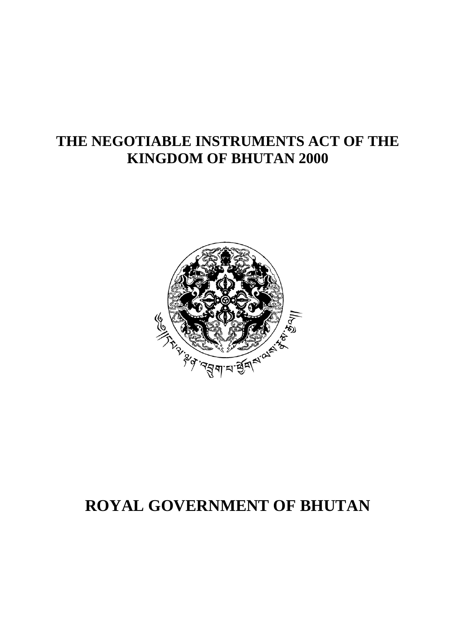# **THE NEGOTIABLE INSTRUMENTS ACT OF THE KINGDOM OF BHUTAN 2000**



# **ROYAL GOVERNMENT OF BHUTAN**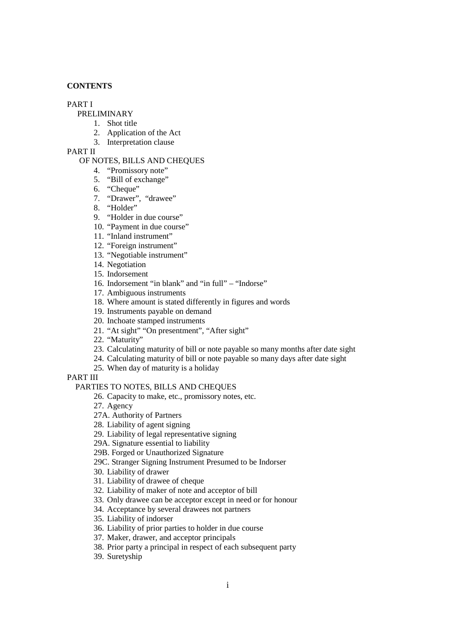#### **CONTENTS**

## PART I

# PRELIMINARY

- 1. Shot title
- 2. Application of the Act
- 3. Interpretation clause

## PART II

#### OF NOTES, BILLS AND CHEQUES

- 4. "Promissory note"
- 5. "Bill of exchange"
- 6. "Cheque"
- 7. "Drawer", "drawee"
- 8. "Holder"
- 9. "Holder in due course"
- 10. "Payment in due course"
- 11. "Inland instrument"
- 12. "Foreign instrument"
- 13. "Negotiable instrument"
- 14. Negotiation
- 15. Indorsement
- 16. Indorsement "in blank" and "in full" "Indorse"
- 17. Ambiguous instruments
- 18. Where amount is stated differently in figures and words
- 19. Instruments payable on demand
- 20. Inchoate stamped instruments
- 21. "At sight" "On presentment", "After sight"
- 22. "Maturity"
- 23. Calculating maturity of bill or note payable so many months after date sight
- 24. Calculating maturity of bill or note payable so many days after date sight
- 25. When day of maturity is a holiday

PART III

#### PARTIES TO NOTES, BILLS AND CHEQUES

- 26. Capacity to make, etc., promissory notes, etc.
- 27. Agency
- 27A. Authority of Partners
- 28. Liability of agent signing
- 29. Liability of legal representative signing
- 29A. Signature essential to liability
- 29B. Forged or Unauthorized Signature
- 29C. Stranger Signing Instrument Presumed to be Indorser
- 30. Liability of drawer
- 31. Liability of drawee of cheque
- 32. Liability of maker of note and acceptor of bill
- 33. Only drawee can be acceptor except in need or for honour
- 34. Acceptance by several drawees not partners
- 35. Liability of indorser
- 36. Liability of prior parties to holder in due course
- 37. Maker, drawer, and acceptor principals
- 38. Prior party a principal in respect of each subsequent party
- 39. Suretyship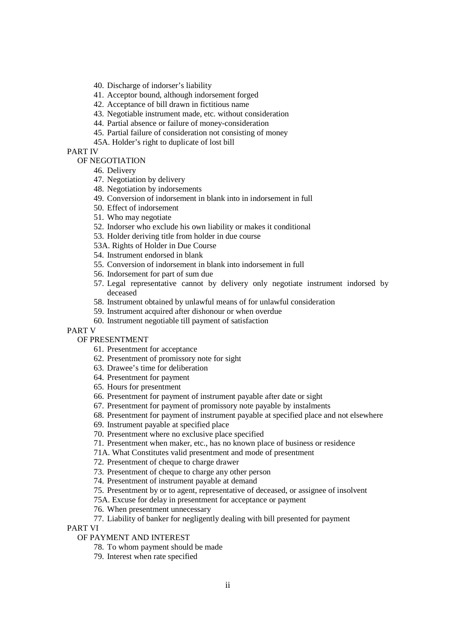- 40. Discharge of indorser's liability
- 41. Acceptor bound, although indorsement forged
- 42. Acceptance of bill drawn in fictitious name
- 43. Negotiable instrument made, etc. without consideration
- 44. Partial absence or failure of money-consideration
- 45. Partial failure of consideration not consisting of money
- 45A. Holder's right to duplicate of lost bill

# PART IV

- OF NEGOTIATION
	- 46. Delivery
	- 47. Negotiation by delivery
	- 48. Negotiation by indorsements
	- 49. Conversion of indorsement in blank into in indorsement in full
	- 50. Effect of indorsement
	- 51. Who may negotiate
	- 52. Indorser who exclude his own liability or makes it conditional
	- 53. Holder deriving title from holder in due course
	- 53A. Rights of Holder in Due Course
	- 54. Instrument endorsed in blank
	- 55. Conversion of indorsement in blank into indorsement in full
	- 56. Indorsement for part of sum due
	- 57. Legal representative cannot by delivery only negotiate instrument indorsed by deceased
	- 58. Instrument obtained by unlawful means of for unlawful consideration
	- 59. Instrument acquired after dishonour or when overdue
	- 60. Instrument negotiable till payment of satisfaction
- PART V

## OF PRESENTMENT

- 61. Presentment for acceptance
- 62. Presentment of promissory note for sight
- 63. Drawee's time for deliberation
- 64. Presentment for payment
- 65. Hours for presentment
- 66. Presentment for payment of instrument payable after date or sight
- 67. Presentment for payment of promissory note payable by instalments
- 68. Presentment for payment of instrument payable at specified place and not elsewhere
- 69. Instrument payable at specified place
- 70. Presentment where no exclusive place specified
- 71. Presentment when maker, etc., has no known place of business or residence
- 71A. What Constitutes valid presentment and mode of presentment
- 72. Presentment of cheque to charge drawer
- 73. Presentment of cheque to charge any other person
- 74. Presentment of instrument payable at demand
- 75. Presentment by or to agent, representative of deceased, or assignee of insolvent
- 75A. Excuse for delay in presentment for acceptance or payment
- 76. When presentment unnecessary
- 77. Liability of banker for negligently dealing with bill presented for payment

PART VI

#### OF PAYMENT AND INTEREST

- 78. To whom payment should be made
- 79. Interest when rate specified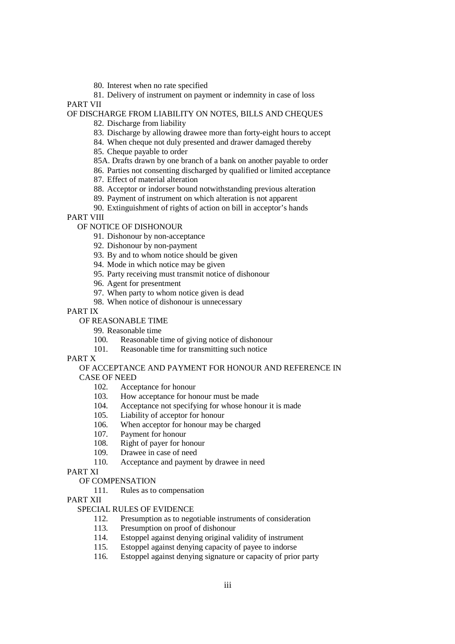80. Interest when no rate specified

81. Delivery of instrument on payment or indemnity in case of loss PART VII

## OF DISCHARGE FROM LIABILITY ON NOTES, BILLS AND CHEQUES

- 82. Discharge from liability
- 83. Discharge by allowing drawee more than forty-eight hours to accept
- 84. When cheque not duly presented and drawer damaged thereby
- 85. Cheque payable to order
- 85A. Drafts drawn by one branch of a bank on another payable to order
- 86. Parties not consenting discharged by qualified or limited acceptance
- 87. Effect of material alteration
- 88. Acceptor or indorser bound notwithstanding previous alteration
- 89. Payment of instrument on which alteration is not apparent
- 90. Extinguishment of rights of action on bill in acceptor's hands

PART VIII

#### OF NOTICE OF DISHONOUR

- 91. Dishonour by non-acceptance
- 92. Dishonour by non-payment
- 93. By and to whom notice should be given
- 94. Mode in which notice may be given
- 95. Party receiving must transmit notice of dishonour
- 96. Agent for presentment
- 97. When party to whom notice given is dead
- 98. When notice of dishonour is unnecessary

PART IX

- OF REASONABLE TIME
	- 99. Reasonable time
	- 100. Reasonable time of giving notice of dishonour
	- 101. Reasonable time for transmitting such notice

#### PART X

## OF ACCEPTANCE AND PAYMENT FOR HONOUR AND REFERENCE IN CASE OF NEED

- 102. Acceptance for honour
- 103. How acceptance for honour must be made
- 104. Acceptance not specifying for whose honour it is made
- 105. Liability of acceptor for honour
- 106. When acceptor for honour may be charged
- 107. Payment for honour
- 108. Right of payer for honour
- 109. Drawee in case of need
- 110. Acceptance and payment by drawee in need

PART XI

# OF COMPENSATION

111. Rules as to compensation

PART XII

# SPECIAL RULES OF EVIDENCE

- 112. Presumption as to negotiable instruments of consideration
- 113. Presumption on proof of dishonour
- 114. Estoppel against denying original validity of instrument
- 115. Estoppel against denying capacity of payee to indorse
- 116. Estoppel against denying signature or capacity of prior party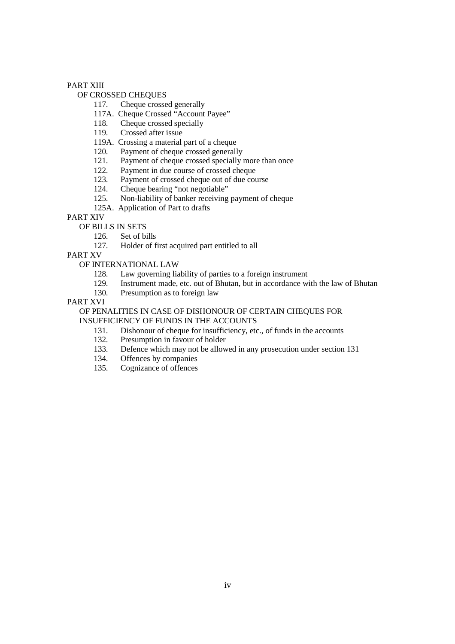#### PART XIII

## OF CROSSED CHEQUES

- 117. Cheque crossed generally
- 117A. Cheque Crossed "Account Payee"
- 118. Cheque crossed specially
- 119. Crossed after issue
- 119A. Crossing a material part of a cheque
- 120. Payment of cheque crossed generally
- 121. Payment of cheque crossed specially more than once
- 122. Payment in due course of crossed cheque<br>123. Payment of crossed cheque out of due cou
- 123. Payment of crossed cheque out of due course<br>124. Cheque bearing "not negotiable"
- Cheque bearing "not negotiable"
- 125. Non-liability of banker receiving payment of cheque
- 125A. Application of Part to drafts

# PART XIV

- OF BILLS IN SETS
	- 126. Set of bills
	- 127. Holder of first acquired part entitled to all

PART XV

# OF INTERNATIONAL LAW

- 128. Law governing liability of parties to a foreign instrument
- 129. Instrument made, etc. out of Bhutan, but in accordance with the law of Bhutan
- 130. Presumption as to foreign law

#### PART XVI

#### OF PENALITIES IN CASE OF DISHONOUR OF CERTAIN CHEQUES FOR INSUFFICIENCY OF FUNDS IN THE ACCOUNTS

- 131. Dishonour of cheque for insufficiency, etc., of funds in the accounts 132. Presumption in favour of holder
- Presumption in favour of holder
- 133. Defence which may not be allowed in any prosecution under section 131
- 134. Offences by companies
- 135. Cognizance of offences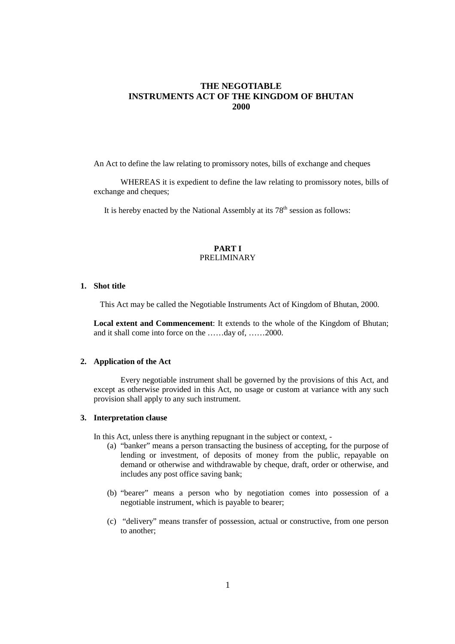# **THE NEGOTIABLE INSTRUMENTS ACT OF THE KINGDOM OF BHUTAN 2000**

An Act to define the law relating to promissory notes, bills of exchange and cheques

WHEREAS it is expedient to define the law relating to promissory notes, bills of exchange and cheques;

It is hereby enacted by the National Assembly at its  $78<sup>th</sup>$  session as follows:

#### **PART I**  PRELIMINARY

## **1. Shot title**

This Act may be called the Negotiable Instruments Act of Kingdom of Bhutan, 2000.

**Local extent and Commencement**: It extends to the whole of the Kingdom of Bhutan; and it shall come into force on the ……day of, ……2000.

## **2. Application of the Act**

Every negotiable instrument shall be governed by the provisions of this Act, and except as otherwise provided in this Act, no usage or custom at variance with any such provision shall apply to any such instrument.

#### **3. Interpretation clause**

In this Act, unless there is anything repugnant in the subject or context, -

- (a) "banker" means a person transacting the business of accepting, for the purpose of lending or investment, of deposits of money from the public, repayable on demand or otherwise and withdrawable by cheque, draft, order or otherwise, and includes any post office saving bank;
- (b) "bearer" means a person who by negotiation comes into possession of a negotiable instrument, which is payable to bearer;
- (c) "delivery" means transfer of possession, actual or constructive, from one person to another;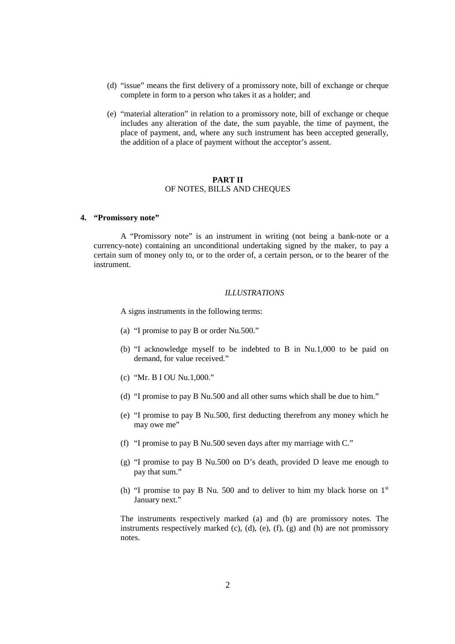- (d) "issue" means the first delivery of a promissory note, bill of exchange or cheque complete in form to a person who takes it as a holder; and
- (e) "material alteration" in relation to a promissory note, bill of exchange or cheque includes any alteration of the date, the sum payable, the time of payment, the place of payment, and, where any such instrument has been accepted generally, the addition of a place of payment without the acceptor's assent.

#### **PART II**  OF NOTES, BILLS AND CHEQUES

#### **4. "Promissory note"**

A "Promissory note" is an instrument in writing (not being a bank-note or a currency-note) containing an unconditional undertaking signed by the maker, to pay a certain sum of money only to, or to the order of, a certain person, or to the bearer of the instrument.

#### *ILLUSTRATIONS*

A signs instruments in the following terms:

- (a) "I promise to pay B or order Nu.500."
- (b) "I acknowledge myself to be indebted to B in Nu.1,000 to be paid on demand, for value received."
- (c) "Mr. B I OU Nu.1,000."
- (d) "I promise to pay B Nu.500 and all other sums which shall be due to him."
- (e) "I promise to pay B Nu.500, first deducting therefrom any money which he may owe me"
- (f) "I promise to pay B Nu.500 seven days after my marriage with C."
- (g) "I promise to pay B Nu.500 on D's death, provided D leave me enough to pay that sum."
- (h) "I promise to pay B Nu. 500 and to deliver to him my black horse on  $1<sup>st</sup>$ January next."

The instruments respectively marked (a) and (b) are promissory notes. The instruments respectively marked (c), (d), (e), (f), (g) and (h) are not promissory notes.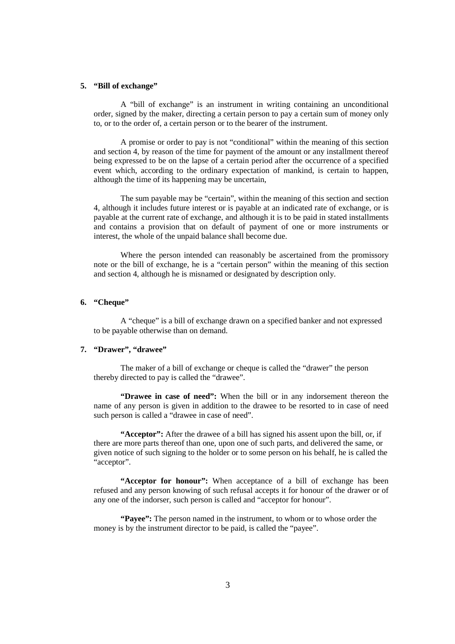#### **5. "Bill of exchange"**

A "bill of exchange" is an instrument in writing containing an unconditional order, signed by the maker, directing a certain person to pay a certain sum of money only to, or to the order of, a certain person or to the bearer of the instrument.

A promise or order to pay is not "conditional" within the meaning of this section and section 4, by reason of the time for payment of the amount or any installment thereof being expressed to be on the lapse of a certain period after the occurrence of a specified event which, according to the ordinary expectation of mankind, is certain to happen, although the time of its happening may be uncertain,

The sum payable may be "certain", within the meaning of this section and section 4, although it includes future interest or is payable at an indicated rate of exchange, or is payable at the current rate of exchange, and although it is to be paid in stated installments and contains a provision that on default of payment of one or more instruments or interest, the whole of the unpaid balance shall become due.

Where the person intended can reasonably be ascertained from the promissory note or the bill of exchange, he is a "certain person" within the meaning of this section and section 4, although he is misnamed or designated by description only.

#### **6. "Cheque"**

A "cheque" is a bill of exchange drawn on a specified banker and not expressed to be payable otherwise than on demand.

#### **7. "Drawer", "drawee"**

The maker of a bill of exchange or cheque is called the "drawer" the person thereby directed to pay is called the "drawee".

**"Drawee in case of need":** When the bill or in any indorsement thereon the name of any person is given in addition to the drawee to be resorted to in case of need such person is called a "drawee in case of need".

**"Acceptor":** After the drawee of a bill has signed his assent upon the bill, or, if there are more parts thereof than one, upon one of such parts, and delivered the same, or given notice of such signing to the holder or to some person on his behalf, he is called the "acceptor".

**"Acceptor for honour":** When acceptance of a bill of exchange has been refused and any person knowing of such refusal accepts it for honour of the drawer or of any one of the indorser, such person is called and "acceptor for honour".

**"Payee":** The person named in the instrument, to whom or to whose order the money is by the instrument director to be paid, is called the "payee".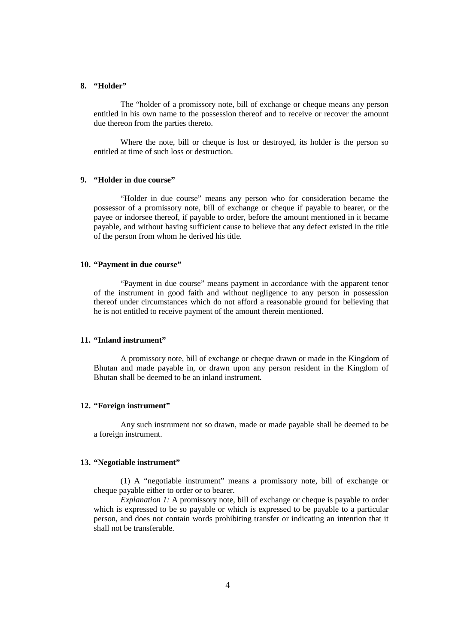#### **8. "Holder"**

The "holder of a promissory note, bill of exchange or cheque means any person entitled in his own name to the possession thereof and to receive or recover the amount due thereon from the parties thereto.

Where the note, bill or cheque is lost or destroyed, its holder is the person so entitled at time of such loss or destruction.

## **9. "Holder in due course"**

"Holder in due course" means any person who for consideration became the possessor of a promissory note, bill of exchange or cheque if payable to bearer, or the payee or indorsee thereof, if payable to order, before the amount mentioned in it became payable, and without having sufficient cause to believe that any defect existed in the title of the person from whom he derived his title.

## **10. "Payment in due course"**

"Payment in due course" means payment in accordance with the apparent tenor of the instrument in good faith and without negligence to any person in possession thereof under circumstances which do not afford a reasonable ground for believing that he is not entitled to receive payment of the amount therein mentioned.

#### **11. "Inland instrument"**

A promissory note, bill of exchange or cheque drawn or made in the Kingdom of Bhutan and made payable in, or drawn upon any person resident in the Kingdom of Bhutan shall be deemed to be an inland instrument.

## **12. "Foreign instrument"**

Any such instrument not so drawn, made or made payable shall be deemed to be a foreign instrument.

#### **13. "Negotiable instrument"**

(1) A "negotiable instrument" means a promissory note, bill of exchange or cheque payable either to order or to bearer.

*Explanation 1:* A promissory note, bill of exchange or cheque is payable to order which is expressed to be so payable or which is expressed to be payable to a particular person, and does not contain words prohibiting transfer or indicating an intention that it shall not be transferable.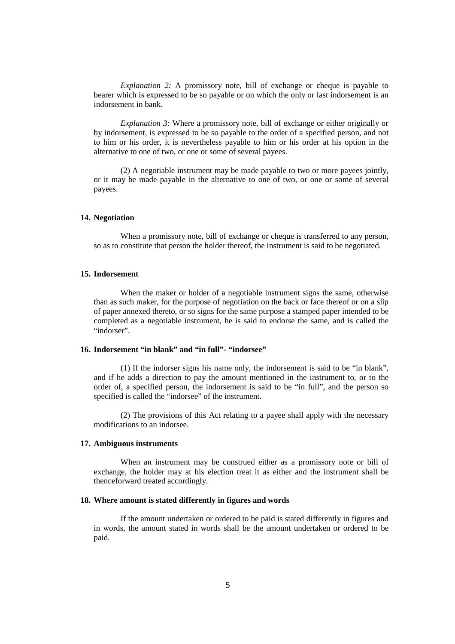*Explanation 2:* A promissory note, bill of exchange or cheque is payable to bearer which is expressed to be so payable or on which the only or last indorsement is an indorsement in bank.

*Explanation 3:* Where a promissory note, bill of exchange or either originally or by indorsement, is expressed to be so payable to the order of a specified person, and not to him or his order, it is nevertheless payable to him or his order at his option in the alternative to one of two, or one or some of several payees.

(2) A negotiable instrument may be made payable to two or more payees jointly, or it may be made payable in the alternative to one of two, or one or some of several payees.

#### **14. Negotiation**

When a promissory note, bill of exchange or cheque is transferred to any person, so as to constitute that person the holder thereof, the instrument is said to be negotiated.

#### **15. Indorsement**

When the maker or holder of a negotiable instrument signs the same, otherwise than as such maker, for the purpose of negotiation on the back or face thereof or on a slip of paper annexed thereto, or so signs for the same purpose a stamped paper intended to be completed as a negotiable instrument, he is said to endorse the same, and is called the "indorser".

## **16. Indorsement "in blank" and "in full"- "indorsee"**

(1) If the indorser signs his name only, the indorsement is said to be "in blank", and if he adds a direction to pay the amount mentioned in the instrument to, or to the order of, a specified person, the indorsement is said to be "in full", and the person so specified is called the "indorsee" of the instrument.

(2) The provisions of this Act relating to a payee shall apply with the necessary modifications to an indorsee.

#### **17. Ambiguous instruments**

When an instrument may be construed either as a promissory note or bill of exchange, the holder may at his election treat it as either and the instrument shall be thenceforward treated accordingly.

#### **18. Where amount is stated differently in figures and words**

If the amount undertaken or ordered to be paid is stated differently in figures and in words, the amount stated in words shall be the amount undertaken or ordered to be paid.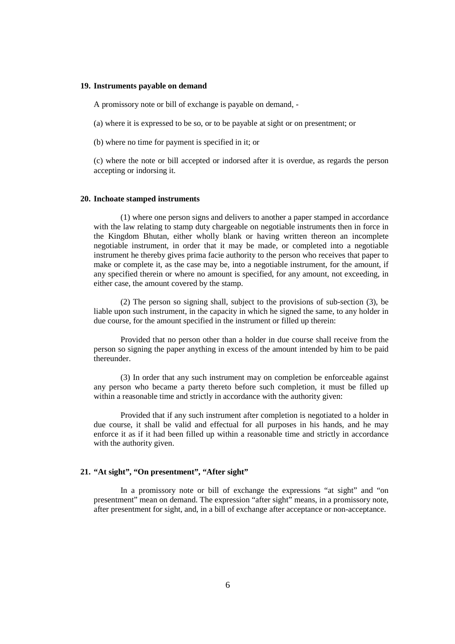#### **19. Instruments payable on demand**

A promissory note or bill of exchange is payable on demand, -

(a) where it is expressed to be so, or to be payable at sight or on presentment; or

(b) where no time for payment is specified in it; or

(c) where the note or bill accepted or indorsed after it is overdue, as regards the person accepting or indorsing it.

#### **20. Inchoate stamped instruments**

(1) where one person signs and delivers to another a paper stamped in accordance with the law relating to stamp duty chargeable on negotiable instruments then in force in the Kingdom Bhutan, either wholly blank or having written thereon an incomplete negotiable instrument, in order that it may be made, or completed into a negotiable instrument he thereby gives prima facie authority to the person who receives that paper to make or complete it, as the case may be, into a negotiable instrument, for the amount, if any specified therein or where no amount is specified, for any amount, not exceeding, in either case, the amount covered by the stamp.

(2) The person so signing shall, subject to the provisions of sub-section (3), be liable upon such instrument, in the capacity in which he signed the same, to any holder in due course, for the amount specified in the instrument or filled up therein:

Provided that no person other than a holder in due course shall receive from the person so signing the paper anything in excess of the amount intended by him to be paid thereunder.

(3) In order that any such instrument may on completion be enforceable against any person who became a party thereto before such completion, it must be filled up within a reasonable time and strictly in accordance with the authority given:

Provided that if any such instrument after completion is negotiated to a holder in due course, it shall be valid and effectual for all purposes in his hands, and he may enforce it as if it had been filled up within a reasonable time and strictly in accordance with the authority given.

## **21. "At sight", "On presentment", "After sight"**

In a promissory note or bill of exchange the expressions "at sight" and "on presentment" mean on demand. The expression "after sight" means, in a promissory note, after presentment for sight, and, in a bill of exchange after acceptance or non-acceptance.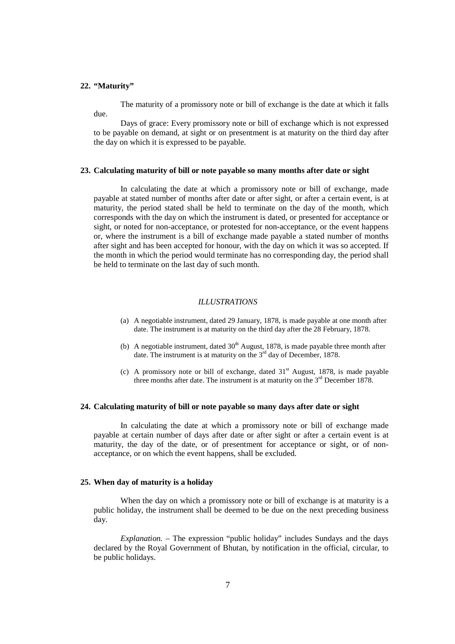#### **22. "Maturity"**

The maturity of a promissory note or bill of exchange is the date at which it falls due.

Days of grace: Every promissory note or bill of exchange which is not expressed to be payable on demand, at sight or on presentment is at maturity on the third day after the day on which it is expressed to be payable.

#### **23. Calculating maturity of bill or note payable so many months after date or sight**

In calculating the date at which a promissory note or bill of exchange, made payable at stated number of months after date or after sight, or after a certain event, is at maturity, the period stated shall be held to terminate on the day of the month, which corresponds with the day on which the instrument is dated, or presented for acceptance or sight, or noted for non-acceptance, or protested for non-acceptance, or the event happens or, where the instrument is a bill of exchange made payable a stated number of months after sight and has been accepted for honour, with the day on which it was so accepted. If the month in which the period would terminate has no corresponding day, the period shall be held to terminate on the last day of such month.

#### *ILLUSTRATIONS*

- (a) A negotiable instrument, dated 29 January, 1878, is made payable at one month after date. The instrument is at maturity on the third day after the 28 February, 1878.
- (b) A negotiable instrument, dated  $30<sup>th</sup>$  August, 1878, is made payable three month after date. The instrument is at maturity on the 3<sup>rd</sup> day of December, 1878.
- (c) A promissory note or bill of exchange, dated  $31<sup>st</sup>$  August, 1878, is made payable three months after date. The instrument is at maturity on the 3<sup>rd</sup> December 1878.

#### **24. Calculating maturity of bill or note payable so many days after date or sight**

In calculating the date at which a promissory note or bill of exchange made payable at certain number of days after date or after sight or after a certain event is at maturity, the day of the date, or of presentment for acceptance or sight, or of nonacceptance, or on which the event happens, shall be excluded.

#### **25. When day of maturity is a holiday**

When the day on which a promissory note or bill of exchange is at maturity is a public holiday, the instrument shall be deemed to be due on the next preceding business day.

*Explanation.* – The expression "public holiday" includes Sundays and the days declared by the Royal Government of Bhutan, by notification in the official, circular, to be public holidays.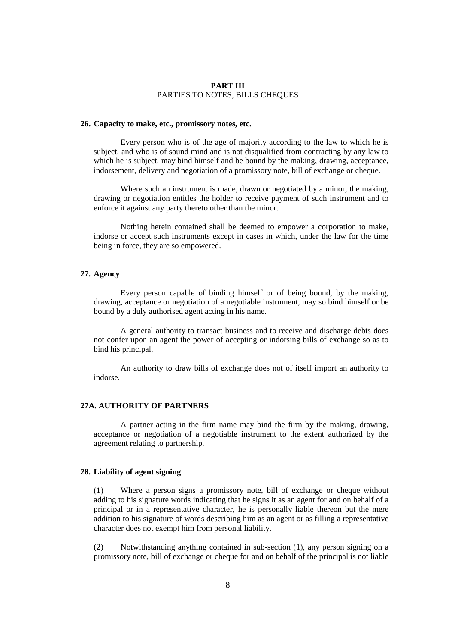#### **PART III**  PARTIES TO NOTES, BILLS CHEQUES

#### **26. Capacity to make, etc., promissory notes, etc.**

Every person who is of the age of majority according to the law to which he is subject, and who is of sound mind and is not disqualified from contracting by any law to which he is subject, may bind himself and be bound by the making, drawing, acceptance, indorsement, delivery and negotiation of a promissory note, bill of exchange or cheque.

Where such an instrument is made, drawn or negotiated by a minor, the making, drawing or negotiation entitles the holder to receive payment of such instrument and to enforce it against any party thereto other than the minor.

 Nothing herein contained shall be deemed to empower a corporation to make, indorse or accept such instruments except in cases in which, under the law for the time being in force, they are so empowered.

#### **27. Agency**

Every person capable of binding himself or of being bound, by the making, drawing, acceptance or negotiation of a negotiable instrument, may so bind himself or be bound by a duly authorised agent acting in his name.

A general authority to transact business and to receive and discharge debts does not confer upon an agent the power of accepting or indorsing bills of exchange so as to bind his principal.

An authority to draw bills of exchange does not of itself import an authority to indorse.

## **27A. AUTHORITY OF PARTNERS**

A partner acting in the firm name may bind the firm by the making, drawing, acceptance or negotiation of a negotiable instrument to the extent authorized by the agreement relating to partnership.

#### **28. Liability of agent signing**

(1) Where a person signs a promissory note, bill of exchange or cheque without adding to his signature words indicating that he signs it as an agent for and on behalf of a principal or in a representative character, he is personally liable thereon but the mere addition to his signature of words describing him as an agent or as filling a representative character does not exempt him from personal liability.

(2) Notwithstanding anything contained in sub-section (1), any person signing on a promissory note, bill of exchange or cheque for and on behalf of the principal is not liable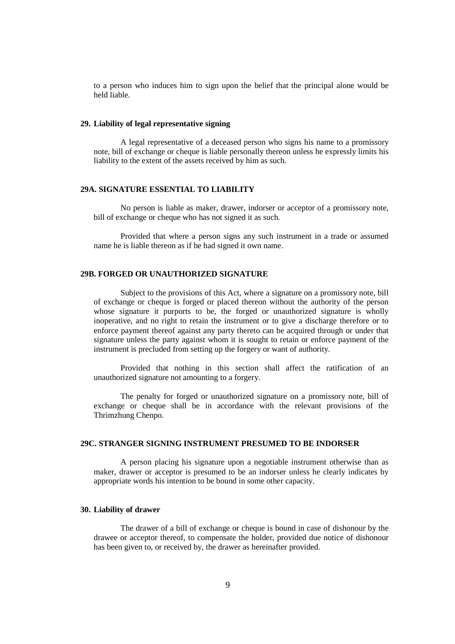to a person who induces him to sign upon the belief that the principal alone would be held liable.

## **29. Liability of legal representative signing**

A legal representative of a deceased person who signs his name to a promissory note, bill of exchange or cheque is liable personally thereon unless he expressly limits his liability to the extent of the assets received by him as such.

#### **29A. SIGNATURE ESSENTIAL TO LIABILITY**

 No person is liable as maker, drawer, indorser or acceptor of a promissory note, bill of exchange or cheque who has not signed it as such.

 Provided that where a person signs any such instrument in a trade or assumed name he is liable thereon as if he had signed it own name.

#### **29B. FORGED OR UNAUTHORIZED SIGNATURE**

Subject to the provisions of this Act, where a signature on a promissory note, bill of exchange or cheque is forged or placed thereon without the authority of the person whose signature it purports to be, the forged or unauthorized signature is wholly inoperative, and no right to retain the instrument or to give a discharge therefore or to enforce payment thereof against any party thereto can be acquired through or under that signature unless the party against whom it is sought to retain or enforce payment of the instrument is precluded from setting up the forgery or want of authority.

Provided that nothing in this section shall affect the ratification of an unauthorized signature not amounting to a forgery.

The penalty for forged or unauthorized signature on a promissory note, bill of exchange or cheque shall be in accordance with the relevant provisions of the Thrimzhung Chenpo.

## **29C. STRANGER SIGNING INSTRUMENT PRESUMED TO BE INDORSER**

A person placing his signature upon a negotiable instrument otherwise than as maker, drawer or acceptor is presumed to be an indorser unless he clearly indicates by appropriate words his intention to be bound in some other capacity.

# **30. Liability of drawer**

The drawer of a bill of exchange or cheque is bound in case of dishonour by the drawee or acceptor thereof, to compensate the holder, provided due notice of dishonour has been given to, or received by, the drawer as hereinafter provided.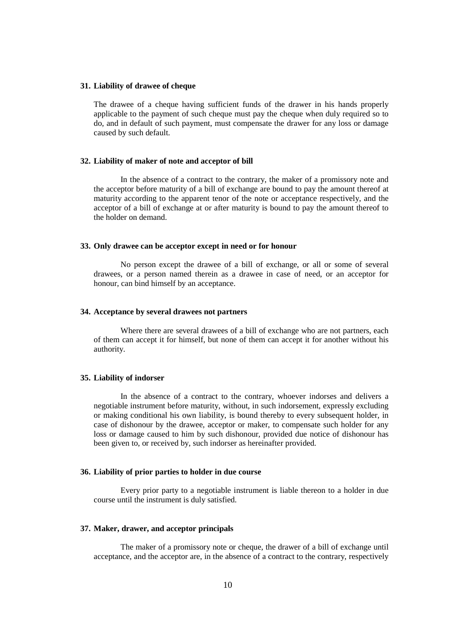#### **31. Liability of drawee of cheque**

The drawee of a cheque having sufficient funds of the drawer in his hands properly applicable to the payment of such cheque must pay the cheque when duly required so to do, and in default of such payment, must compensate the drawer for any loss or damage caused by such default.

#### **32. Liability of maker of note and acceptor of bill**

In the absence of a contract to the contrary, the maker of a promissory note and the acceptor before maturity of a bill of exchange are bound to pay the amount thereof at maturity according to the apparent tenor of the note or acceptance respectively, and the acceptor of a bill of exchange at or after maturity is bound to pay the amount thereof to the holder on demand.

#### **33. Only drawee can be acceptor except in need or for honour**

No person except the drawee of a bill of exchange, or all or some of several drawees, or a person named therein as a drawee in case of need, or an acceptor for honour, can bind himself by an acceptance.

#### **34. Acceptance by several drawees not partners**

Where there are several drawees of a bill of exchange who are not partners, each of them can accept it for himself, but none of them can accept it for another without his authority.

#### **35. Liability of indorser**

In the absence of a contract to the contrary, whoever indorses and delivers a negotiable instrument before maturity, without, in such indorsement, expressly excluding or making conditional his own liability, is bound thereby to every subsequent holder, in case of dishonour by the drawee, acceptor or maker, to compensate such holder for any loss or damage caused to him by such dishonour, provided due notice of dishonour has been given to, or received by, such indorser as hereinafter provided.

#### **36. Liability of prior parties to holder in due course**

Every prior party to a negotiable instrument is liable thereon to a holder in due course until the instrument is duly satisfied.

#### **37. Maker, drawer, and acceptor principals**

The maker of a promissory note or cheque, the drawer of a bill of exchange until acceptance, and the acceptor are, in the absence of a contract to the contrary, respectively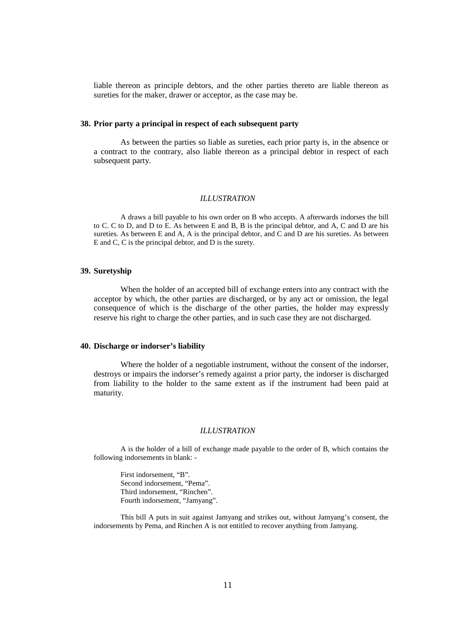liable thereon as principle debtors, and the other parties thereto are liable thereon as sureties for the maker, drawer or acceptor, as the case may be.

#### **38. Prior party a principal in respect of each subsequent party**

As between the parties so liable as sureties, each prior party is, in the absence or a contract to the contrary, also liable thereon as a principal debtor in respect of each subsequent party.

#### *ILLUSTRATION*

A draws a bill payable to his own order on B who accepts. A afterwards indorses the bill to C. C to D, and D to E. As between E and B, B is the principal debtor, and A, C and D are his sureties. As between E and A, A is the principal debtor, and C and D are his sureties. As between E and C, C is the principal debtor, and D is the surety.

#### **39. Suretyship**

When the holder of an accepted bill of exchange enters into any contract with the acceptor by which, the other parties are discharged, or by any act or omission, the legal consequence of which is the discharge of the other parties, the holder may expressly reserve his right to charge the other parties, and in such case they are not discharged.

#### **40. Discharge or indorser's liability**

Where the holder of a negotiable instrument, without the consent of the indorser, destroys or impairs the indorser's remedy against a prior party, the indorser is discharged from liability to the holder to the same extent as if the instrument had been paid at maturity.

#### *ILLUSTRATION*

A is the holder of a bill of exchange made payable to the order of B, which contains the following indorsements in blank: -

 First indorsement, "B". Second indorsement, "Pema". Third indorsement, "Rinchen". Fourth indorsement, "Jamyang".

This bill A puts in suit against Jamyang and strikes out, without Jamyang's consent, the indorsements by Pema, and Rinchen A is not entitled to recover anything from Jamyang.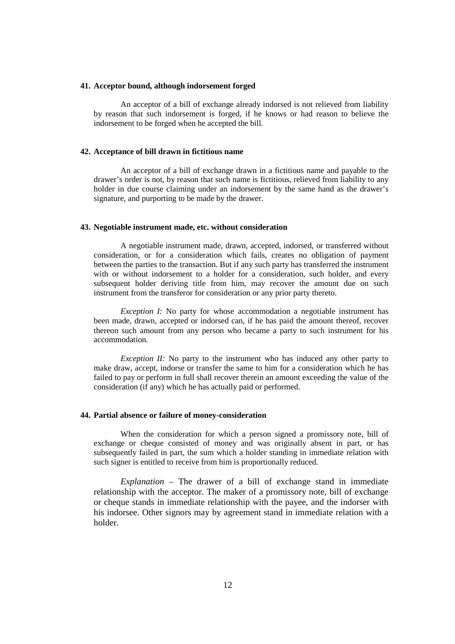#### **41. Acceptor bound, although indorsement forged**

An acceptor of a bill of exchange already indorsed is not relieved from liability by reason that such indorsement is forged, if he knows or had reason to believe the indorsement to be forged when he accepted the bill.

#### **42. Acceptance of bill drawn in fictitious name**

An acceptor of a bill of exchange drawn in a fictitious name and payable to the drawer's order is not, by reason that such name is fictitious, relieved from liability to any holder in due course claiming under an indorsement by the same hand as the drawer's signature, and purporting to be made by the drawer.

#### **43. Negotiable instrument made, etc. without consideration**

A negotiable instrument made, drawn, accepted, indorsed, or transferred without consideration, or for a consideration which fails, creates no obligation of payment between the parties to the transaction. But if any such party has transferred the instrument with or without indorsement to a holder for a consideration, such holder, and every subsequent holder deriving title from him, may recover the amount due on such instrument from the transferor for consideration or any prior party thereto.

*Exception I:* No party for whose accommodation a negotiable instrument has been made, drawn, accepted or indorsed can, if he has paid the amount thereof, recover thereon such amount from any person who became a party to such instrument for his accommodation.

*Exception II:* No party to the instrument who has induced any other party to make draw, accept, indorse or transfer the same to him for a consideration which he has failed to pay or perform in full shall recover therein an amount exceeding the value of the consideration (if any) which he has actually paid or performed.

#### **44. Partial absence or failure of money-consideration**

When the consideration for which a person signed a promissory note, bill of exchange or cheque consisted of money and was originally absent in part, or has subsequently failed in part, the sum which a holder standing in immediate relation with such signer is entitled to receive from him is proportionally reduced.

*Explanation* – The drawer of a bill of exchange stand in immediate relationship with the acceptor. The maker of a promissory note, bill of exchange or cheque stands in immediate relationship with the payee, and the indorser with his indorsee. Other signors may by agreement stand in immediate relation with a holder.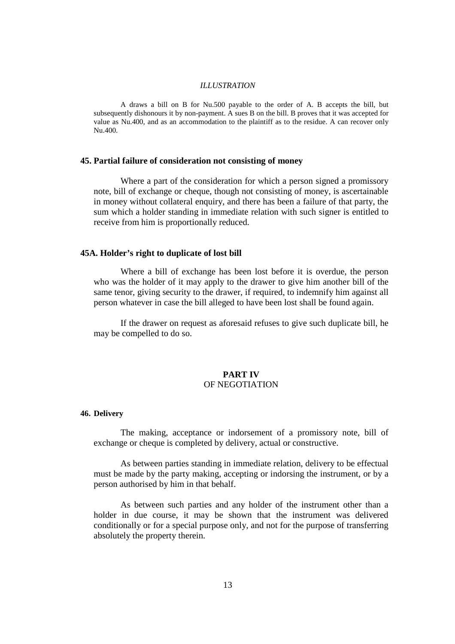#### *ILLUSTRATION*

A draws a bill on B for Nu.500 payable to the order of A. B accepts the bill, but subsequently dishonours it by non-payment. A sues B on the bill. B proves that it was accepted for value as Nu.400, and as an accommodation to the plaintiff as to the residue. A can recover only Nu.400.

#### **45. Partial failure of consideration not consisting of money**

Where a part of the consideration for which a person signed a promissory note, bill of exchange or cheque, though not consisting of money, is ascertainable in money without collateral enquiry, and there has been a failure of that party, the sum which a holder standing in immediate relation with such signer is entitled to receive from him is proportionally reduced.

#### **45A. Holder's right to duplicate of lost bill**

Where a bill of exchange has been lost before it is overdue, the person who was the holder of it may apply to the drawer to give him another bill of the same tenor, giving security to the drawer, if required, to indemnify him against all person whatever in case the bill alleged to have been lost shall be found again.

 If the drawer on request as aforesaid refuses to give such duplicate bill, he may be compelled to do so.

# **PART IV**  OF NEGOTIATION

# **46. Delivery**

The making, acceptance or indorsement of a promissory note, bill of exchange or cheque is completed by delivery, actual or constructive.

 As between parties standing in immediate relation, delivery to be effectual must be made by the party making, accepting or indorsing the instrument, or by a person authorised by him in that behalf.

 As between such parties and any holder of the instrument other than a holder in due course, it may be shown that the instrument was delivered conditionally or for a special purpose only, and not for the purpose of transferring absolutely the property therein.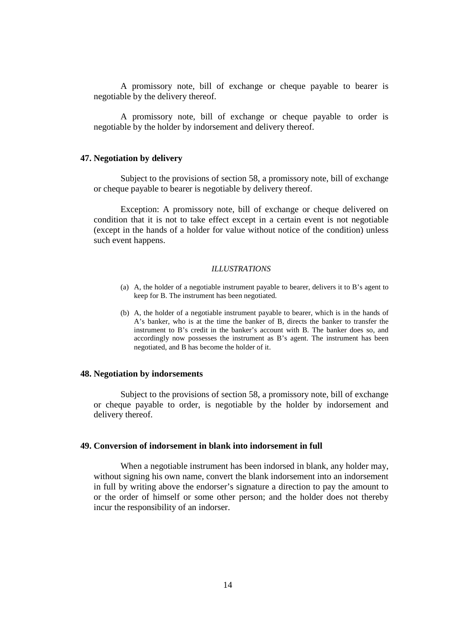A promissory note, bill of exchange or cheque payable to bearer is negotiable by the delivery thereof.

 A promissory note, bill of exchange or cheque payable to order is negotiable by the holder by indorsement and delivery thereof.

#### **47. Negotiation by delivery**

Subject to the provisions of section 58, a promissory note, bill of exchange or cheque payable to bearer is negotiable by delivery thereof.

 Exception: A promissory note, bill of exchange or cheque delivered on condition that it is not to take effect except in a certain event is not negotiable (except in the hands of a holder for value without notice of the condition) unless such event happens.

#### *ILLUSTRATIONS*

- (a) A, the holder of a negotiable instrument payable to bearer, delivers it to B's agent to keep for B. The instrument has been negotiated.
- (b) A, the holder of a negotiable instrument payable to bearer, which is in the hands of A's banker, who is at the time the banker of B, directs the banker to transfer the instrument to B's credit in the banker's account with B. The banker does so, and accordingly now possesses the instrument as B's agent. The instrument has been negotiated, and B has become the holder of it.

#### **48. Negotiation by indorsements**

Subject to the provisions of section 58, a promissory note, bill of exchange or cheque payable to order, is negotiable by the holder by indorsement and delivery thereof.

#### **49. Conversion of indorsement in blank into indorsement in full**

When a negotiable instrument has been indorsed in blank, any holder may, without signing his own name, convert the blank indorsement into an indorsement in full by writing above the endorser's signature a direction to pay the amount to or the order of himself or some other person; and the holder does not thereby incur the responsibility of an indorser.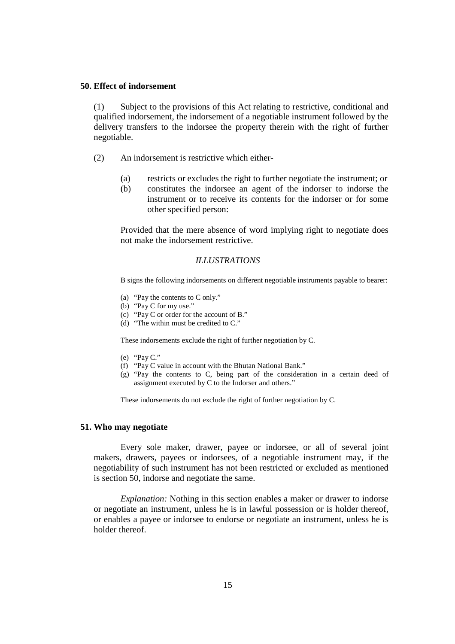# **50. Effect of indorsement**

(1) Subject to the provisions of this Act relating to restrictive, conditional and qualified indorsement, the indorsement of a negotiable instrument followed by the delivery transfers to the indorsee the property therein with the right of further negotiable.

- (2) An indorsement is restrictive which either-
	- (a) restricts or excludes the right to further negotiate the instrument; or
	- (b) constitutes the indorsee an agent of the indorser to indorse the instrument or to receive its contents for the indorser or for some other specified person:

Provided that the mere absence of word implying right to negotiate does not make the indorsement restrictive.

# *ILLUSTRATIONS*

B signs the following indorsements on different negotiable instruments payable to bearer:

- (a) "Pay the contents to C only."
- (b) "Pay C for my use."
- (c) "Pay C or order for the account of B."
- (d) "The within must be credited to C."

These indorsements exclude the right of further negotiation by C.

- (e) "Pay C."
- (f) "Pay C value in account with the Bhutan National Bank."
- (g) "Pay the contents to C, being part of the consideration in a certain deed of assignment executed by C to the Indorser and others."

These indorsements do not exclude the right of further negotiation by C.

#### **51. Who may negotiate**

Every sole maker, drawer, payee or indorsee, or all of several joint makers, drawers, payees or indorsees, of a negotiable instrument may, if the negotiability of such instrument has not been restricted or excluded as mentioned is section 50, indorse and negotiate the same.

*Explanation:* Nothing in this section enables a maker or drawer to indorse or negotiate an instrument, unless he is in lawful possession or is holder thereof, or enables a payee or indorsee to endorse or negotiate an instrument, unless he is holder thereof.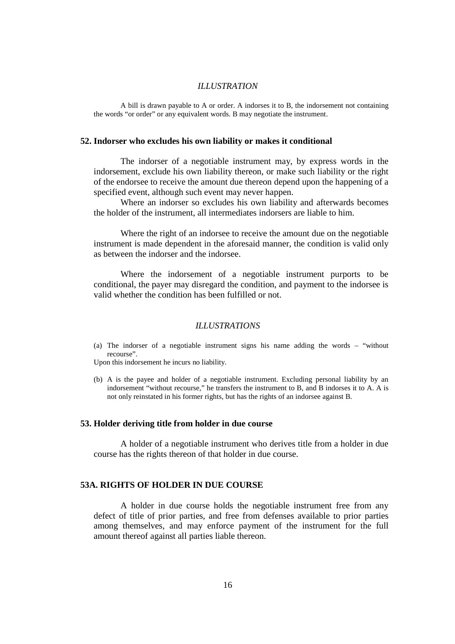## *ILLUSTRATION*

A bill is drawn payable to A or order. A indorses it to B, the indorsement not containing the words "or order" or any equivalent words. B may negotiate the instrument.

## **52. Indorser who excludes his own liability or makes it conditional**

The indorser of a negotiable instrument may, by express words in the indorsement, exclude his own liability thereon, or make such liability or the right of the endorsee to receive the amount due thereon depend upon the happening of a specified event, although such event may never happen.

 Where an indorser so excludes his own liability and afterwards becomes the holder of the instrument, all intermediates indorsers are liable to him.

 Where the right of an indorsee to receive the amount due on the negotiable instrument is made dependent in the aforesaid manner, the condition is valid only as between the indorser and the indorsee.

 Where the indorsement of a negotiable instrument purports to be conditional, the payer may disregard the condition, and payment to the indorsee is valid whether the condition has been fulfilled or not.

#### *ILLUSTRATIONS*

(a) The indorser of a negotiable instrument signs his name adding the words – "without recourse".

Upon this indorsement he incurs no liability.

(b) A is the payee and holder of a negotiable instrument. Excluding personal liability by an indorsement "without recourse," he transfers the instrument to B, and B indorses it to A. A is not only reinstated in his former rights, but has the rights of an indorsee against B.

## **53. Holder deriving title from holder in due course**

A holder of a negotiable instrument who derives title from a holder in due course has the rights thereon of that holder in due course.

# **53A. RIGHTS OF HOLDER IN DUE COURSE**

A holder in due course holds the negotiable instrument free from any defect of title of prior parties, and free from defenses available to prior parties among themselves, and may enforce payment of the instrument for the full amount thereof against all parties liable thereon.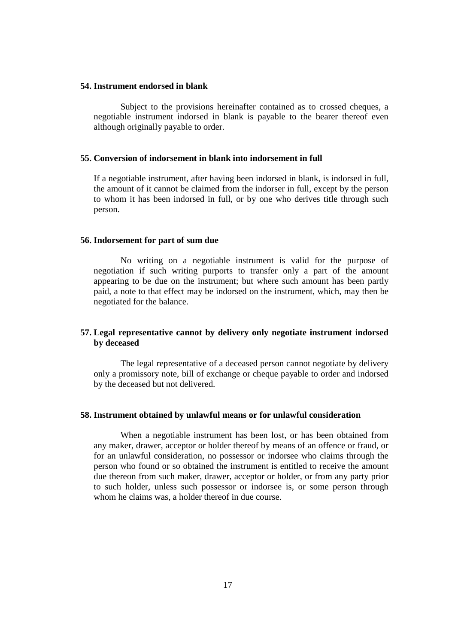## **54. Instrument endorsed in blank**

Subject to the provisions hereinafter contained as to crossed cheques, a negotiable instrument indorsed in blank is payable to the bearer thereof even although originally payable to order.

# **55. Conversion of indorsement in blank into indorsement in full**

If a negotiable instrument, after having been indorsed in blank, is indorsed in full, the amount of it cannot be claimed from the indorser in full, except by the person to whom it has been indorsed in full, or by one who derives title through such person.

## **56. Indorsement for part of sum due**

No writing on a negotiable instrument is valid for the purpose of negotiation if such writing purports to transfer only a part of the amount appearing to be due on the instrument; but where such amount has been partly paid, a note to that effect may be indorsed on the instrument, which, may then be negotiated for the balance.

# **57. Legal representative cannot by delivery only negotiate instrument indorsed by deceased**

The legal representative of a deceased person cannot negotiate by delivery only a promissory note, bill of exchange or cheque payable to order and indorsed by the deceased but not delivered.

## **58. Instrument obtained by unlawful means or for unlawful consideration**

When a negotiable instrument has been lost, or has been obtained from any maker, drawer, acceptor or holder thereof by means of an offence or fraud, or for an unlawful consideration, no possessor or indorsee who claims through the person who found or so obtained the instrument is entitled to receive the amount due thereon from such maker, drawer, acceptor or holder, or from any party prior to such holder, unless such possessor or indorsee is, or some person through whom he claims was, a holder thereof in due course.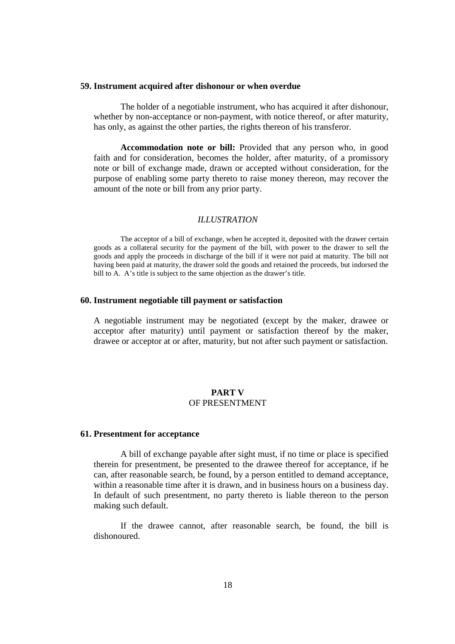#### **59. Instrument acquired after dishonour or when overdue**

The holder of a negotiable instrument, who has acquired it after dishonour, whether by non-acceptance or non-payment, with notice thereof, or after maturity, has only, as against the other parties, the rights thereon of his transferor.

**Accommodation note or bill:** Provided that any person who, in good faith and for consideration, becomes the holder, after maturity, of a promissory note or bill of exchange made, drawn or accepted without consideration, for the purpose of enabling some party thereto to raise money thereon, may recover the amount of the note or bill from any prior party.

#### *ILLUSTRATION*

The acceptor of a bill of exchange, when he accepted it, deposited with the drawer certain goods as a collateral security for the payment of the bill, with power to the drawer to sell the goods and apply the proceeds in discharge of the bill if it were not paid at maturity. The bill not having been paid at maturity, the drawer sold the goods and retained the proceeds, but indorsed the bill to A. A's title is subject to the same objection as the drawer's title.

## **60. Instrument negotiable till payment or satisfaction**

A negotiable instrument may be negotiated (except by the maker, drawee or acceptor after maturity) until payment or satisfaction thereof by the maker, drawee or acceptor at or after, maturity, but not after such payment or satisfaction.

# **PART V**  OF PRESENTMENT

#### **61. Presentment for acceptance**

A bill of exchange payable after sight must, if no time or place is specified therein for presentment, be presented to the drawee thereof for acceptance, if he can, after reasonable search, be found, by a person entitled to demand acceptance, within a reasonable time after it is drawn, and in business hours on a business day. In default of such presentment, no party thereto is liable thereon to the person making such default.

 If the drawee cannot, after reasonable search, be found, the bill is dishonoured.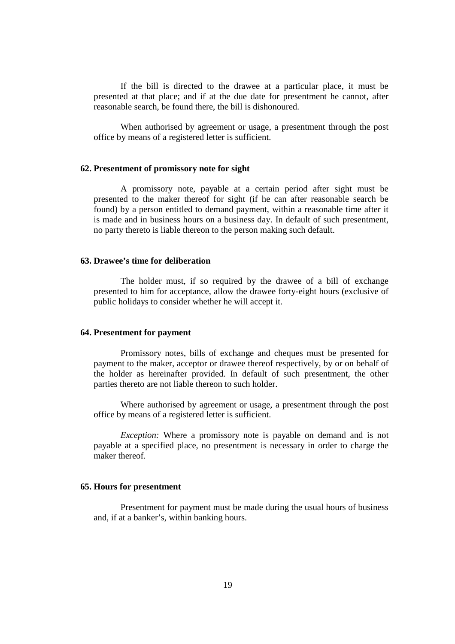If the bill is directed to the drawee at a particular place, it must be presented at that place; and if at the due date for presentment he cannot, after reasonable search, be found there, the bill is dishonoured.

When authorised by agreement or usage, a presentment through the post office by means of a registered letter is sufficient.

## **62. Presentment of promissory note for sight**

A promissory note, payable at a certain period after sight must be presented to the maker thereof for sight (if he can after reasonable search be found) by a person entitled to demand payment, within a reasonable time after it is made and in business hours on a business day. In default of such presentment, no party thereto is liable thereon to the person making such default.

## **63. Drawee's time for deliberation**

The holder must, if so required by the drawee of a bill of exchange presented to him for acceptance, allow the drawee forty-eight hours (exclusive of public holidays to consider whether he will accept it.

## **64. Presentment for payment**

Promissory notes, bills of exchange and cheques must be presented for payment to the maker, acceptor or drawee thereof respectively, by or on behalf of the holder as hereinafter provided. In default of such presentment, the other parties thereto are not liable thereon to such holder.

 Where authorised by agreement or usage, a presentment through the post office by means of a registered letter is sufficient.

*Exception:* Where a promissory note is payable on demand and is not payable at a specified place, no presentment is necessary in order to charge the maker thereof.

#### **65. Hours for presentment**

Presentment for payment must be made during the usual hours of business and, if at a banker's, within banking hours.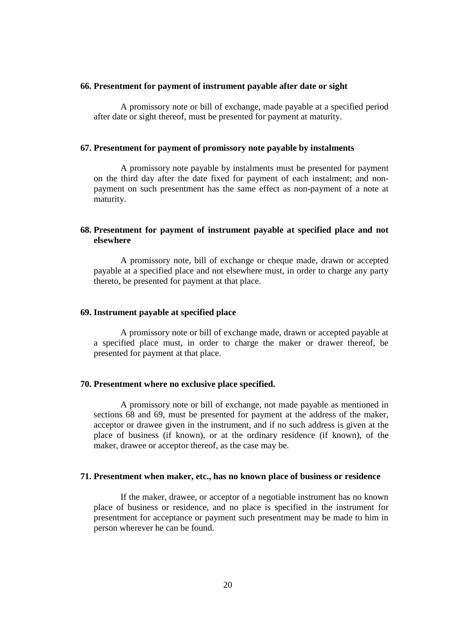## **66. Presentment for payment of instrument payable after date or sight**

A promissory note or bill of exchange, made payable at a specified period after date or sight thereof, must be presented for payment at maturity.

## **67. Presentment for payment of promissory note payable by instalments**

A promissory note payable by instalments must be presented for payment on the third day after the date fixed for payment of each instalment; and nonpayment on such presentment has the same effect as non-payment of a note at maturity.

# **68. Presentment for payment of instrument payable at specified place and not elsewhere**

A promissory note, bill of exchange or cheque made, drawn or accepted payable at a specified place and not elsewhere must, in order to charge any party thereto, be presented for payment at that place.

#### **69. Instrument payable at specified place**

A promissory note or bill of exchange made, drawn or accepted payable at a specified place must, in order to charge the maker or drawer thereof, be presented for payment at that place.

#### **70. Presentment where no exclusive place specified.**

A promissory note or bill of exchange, not made payable as mentioned in sections 68 and 69, must be presented for payment at the address of the maker, acceptor or drawee given in the instrument, and if no such address is given at the place of business (if known), or at the ordinary residence (if known), of the maker, drawee or acceptor thereof, as the case may be.

# **71. Presentment when maker, etc., has no known place of business or residence**

If the maker, drawee, or acceptor of a negotiable instrument has no known place of business or residence, and no place is specified in the instrument for presentment for acceptance or payment such presentment may be made to him in person wherever he can be found.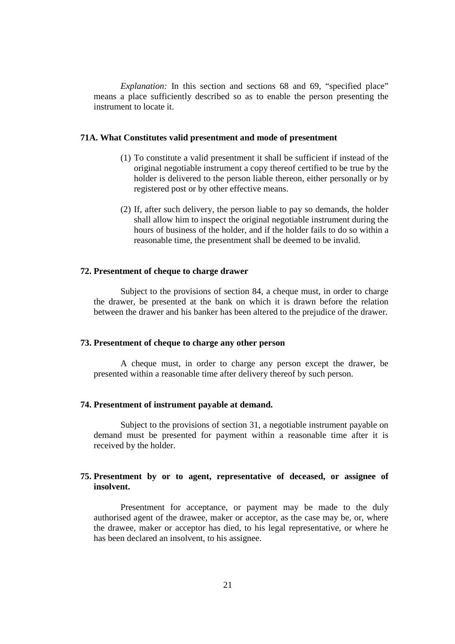*Explanation:* In this section and sections 68 and 69, "specified place" means a place sufficiently described so as to enable the person presenting the instrument to locate it.

## **71A. What Constitutes valid presentment and mode of presentment**

- (1) To constitute a valid presentment it shall be sufficient if instead of the original negotiable instrument a copy thereof certified to be true by the holder is delivered to the person liable thereon, either personally or by registered post or by other effective means.
- (2) If, after such delivery, the person liable to pay so demands, the holder shall allow him to inspect the original negotiable instrument during the hours of business of the holder, and if the holder fails to do so within a reasonable time, the presentment shall be deemed to be invalid.

# **72. Presentment of cheque to charge drawer**

Subject to the provisions of section 84, a cheque must, in order to charge the drawer, be presented at the bank on which it is drawn before the relation between the drawer and his banker has been altered to the prejudice of the drawer.

#### **73. Presentment of cheque to charge any other person**

A cheque must, in order to charge any person except the drawer, be presented within a reasonable time after delivery thereof by such person.

#### **74. Presentment of instrument payable at demand.**

Subject to the provisions of section 31, a negotiable instrument payable on demand must be presented for payment within a reasonable time after it is received by the holder.

# **75. Presentment by or to agent, representative of deceased, or assignee of insolvent.**

Presentment for acceptance, or payment may be made to the duly authorised agent of the drawee, maker or acceptor, as the case may be, or, where the drawee, maker or acceptor has died, to his legal representative, or where he has been declared an insolvent, to his assignee.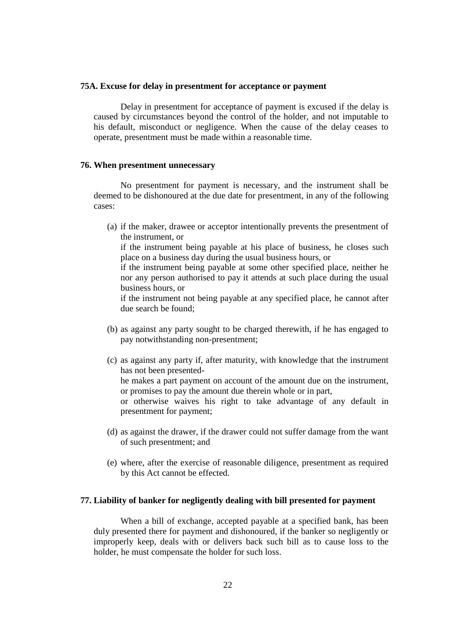#### **75A. Excuse for delay in presentment for acceptance or payment**

Delay in presentment for acceptance of payment is excused if the delay is caused by circumstances beyond the control of the holder, and not imputable to his default, misconduct or negligence. When the cause of the delay ceases to operate, presentment must be made within a reasonable time.

# **76. When presentment unnecessary**

No presentment for payment is necessary, and the instrument shall be deemed to be dishonoured at the due date for presentment, in any of the following cases:

(a) if the maker, drawee or acceptor intentionally prevents the presentment of the instrument, or

if the instrument being payable at his place of business, he closes such place on a business day during the usual business hours, or

if the instrument being payable at some other specified place, neither he nor any person authorised to pay it attends at such place during the usual business hours, or

if the instrument not being payable at any specified place, he cannot after due search be found;

- (b) as against any party sought to be charged therewith, if he has engaged to pay notwithstanding non-presentment;
- (c) as against any party if, after maturity, with knowledge that the instrument has not been presentedhe makes a part payment on account of the amount due on the instrument, or promises to pay the amount due therein whole or in part, or otherwise waives his right to take advantage of any default in presentment for payment;
- (d) as against the drawer, if the drawer could not suffer damage from the want of such presentment; and
- (e) where, after the exercise of reasonable diligence, presentment as required by this Act cannot be effected.

## **77. Liability of banker for negligently dealing with bill presented for payment**

When a bill of exchange, accepted payable at a specified bank, has been duly presented there for payment and dishonoured, if the banker so negligently or improperly keep, deals with or delivers back such bill as to cause loss to the holder, he must compensate the holder for such loss.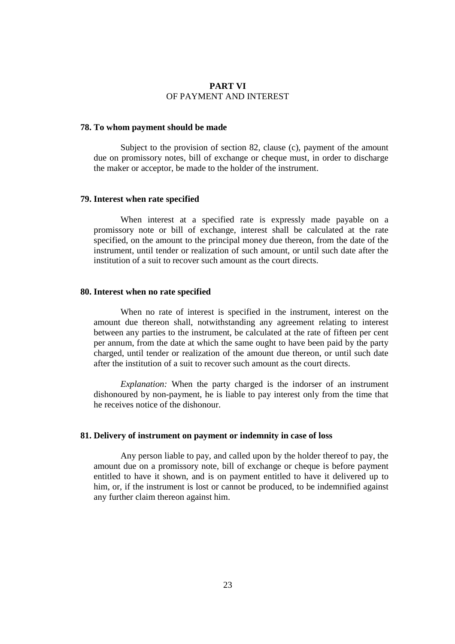#### **PART VI**  OF PAYMENT AND INTEREST

## **78. To whom payment should be made**

Subject to the provision of section 82, clause (c), payment of the amount due on promissory notes, bill of exchange or cheque must, in order to discharge the maker or acceptor, be made to the holder of the instrument.

## **79. Interest when rate specified**

When interest at a specified rate is expressly made payable on a promissory note or bill of exchange, interest shall be calculated at the rate specified, on the amount to the principal money due thereon, from the date of the instrument, until tender or realization of such amount, or until such date after the institution of a suit to recover such amount as the court directs.

#### **80. Interest when no rate specified**

When no rate of interest is specified in the instrument, interest on the amount due thereon shall, notwithstanding any agreement relating to interest between any parties to the instrument, be calculated at the rate of fifteen per cent per annum, from the date at which the same ought to have been paid by the party charged, until tender or realization of the amount due thereon, or until such date after the institution of a suit to recover such amount as the court directs.

*Explanation:* When the party charged is the indorser of an instrument dishonoured by non-payment, he is liable to pay interest only from the time that he receives notice of the dishonour.

#### **81. Delivery of instrument on payment or indemnity in case of loss**

Any person liable to pay, and called upon by the holder thereof to pay, the amount due on a promissory note, bill of exchange or cheque is before payment entitled to have it shown, and is on payment entitled to have it delivered up to him, or, if the instrument is lost or cannot be produced, to be indemnified against any further claim thereon against him.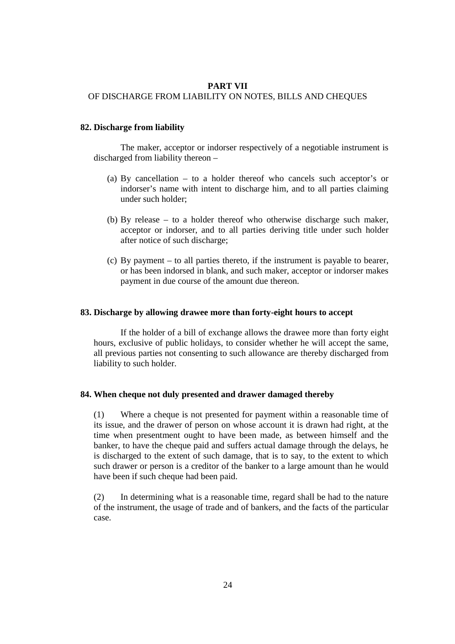## **PART VII**

# OF DISCHARGE FROM LIABILITY ON NOTES, BILLS AND CHEQUES

## **82. Discharge from liability**

The maker, acceptor or indorser respectively of a negotiable instrument is discharged from liability thereon –

- (a) By cancellation to a holder thereof who cancels such acceptor's or indorser's name with intent to discharge him, and to all parties claiming under such holder;
- (b) By release to a holder thereof who otherwise discharge such maker, acceptor or indorser, and to all parties deriving title under such holder after notice of such discharge;
- (c) By payment to all parties thereto, if the instrument is payable to bearer, or has been indorsed in blank, and such maker, acceptor or indorser makes payment in due course of the amount due thereon.

#### **83. Discharge by allowing drawee more than forty-eight hours to accept**

If the holder of a bill of exchange allows the drawee more than forty eight hours, exclusive of public holidays, to consider whether he will accept the same, all previous parties not consenting to such allowance are thereby discharged from liability to such holder.

#### **84. When cheque not duly presented and drawer damaged thereby**

(1) Where a cheque is not presented for payment within a reasonable time of its issue, and the drawer of person on whose account it is drawn had right, at the time when presentment ought to have been made, as between himself and the banker, to have the cheque paid and suffers actual damage through the delays, he is discharged to the extent of such damage, that is to say, to the extent to which such drawer or person is a creditor of the banker to a large amount than he would have been if such cheque had been paid.

(2) In determining what is a reasonable time, regard shall be had to the nature of the instrument, the usage of trade and of bankers, and the facts of the particular case.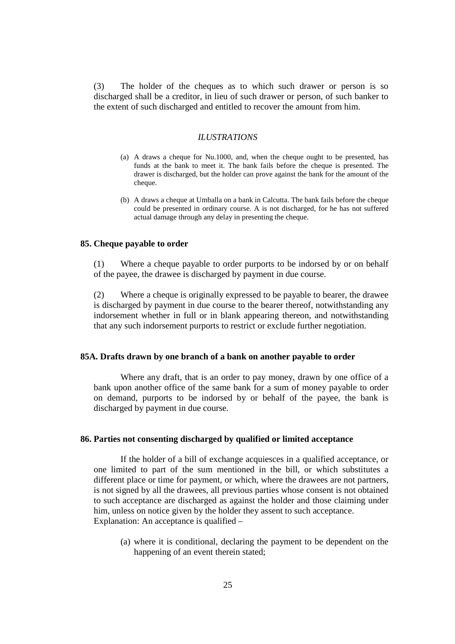(3) The holder of the cheques as to which such drawer or person is so discharged shall be a creditor, in lieu of such drawer or person, of such banker to the extent of such discharged and entitled to recover the amount from him.

## *ILUSTRATIONS*

- (a) A draws a cheque for Nu.1000, and, when the cheque ought to be presented, has funds at the bank to meet it. The bank fails before the cheque is presented. The drawer is discharged, but the holder can prove against the bank for the amount of the cheque.
- (b) A draws a cheque at Umballa on a bank in Calcutta. The bank fails before the cheque could be presented in ordinary course. A is not discharged, for he has not suffered actual damage through any delay in presenting the cheque.

#### **85. Cheque payable to order**

(1) Where a cheque payable to order purports to be indorsed by or on behalf of the payee, the drawee is discharged by payment in due course.

(2) Where a cheque is originally expressed to be payable to bearer, the drawee is discharged by payment in due course to the bearer thereof, notwithstanding any indorsement whether in full or in blank appearing thereon, and notwithstanding that any such indorsement purports to restrict or exclude further negotiation.

## **85A. Drafts drawn by one branch of a bank on another payable to order**

Where any draft, that is an order to pay money, drawn by one office of a bank upon another office of the same bank for a sum of money payable to order on demand, purports to be indorsed by or behalf of the payee, the bank is discharged by payment in due course.

## **86. Parties not consenting discharged by qualified or limited acceptance**

If the holder of a bill of exchange acquiesces in a qualified acceptance, or one limited to part of the sum mentioned in the bill, or which substitutes a different place or time for payment, or which, where the drawees are not partners, is not signed by all the drawees, all previous parties whose consent is not obtained to such acceptance are discharged as against the holder and those claiming under him, unless on notice given by the holder they assent to such acceptance. Explanation: An acceptance is qualified –

(a) where it is conditional, declaring the payment to be dependent on the happening of an event therein stated;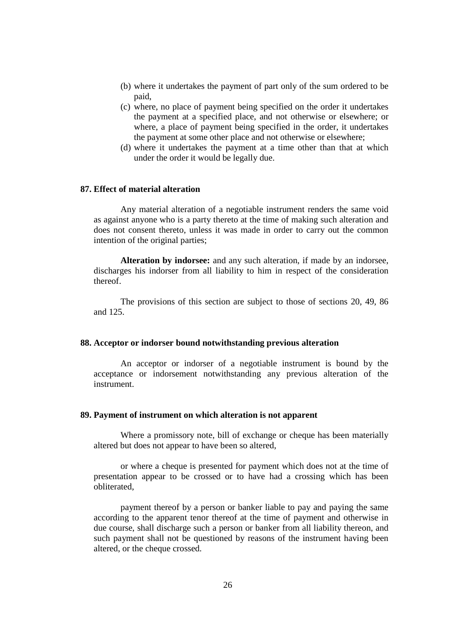- (b) where it undertakes the payment of part only of the sum ordered to be paid,
- (c) where, no place of payment being specified on the order it undertakes the payment at a specified place, and not otherwise or elsewhere; or where, a place of payment being specified in the order, it undertakes the payment at some other place and not otherwise or elsewhere;
- (d) where it undertakes the payment at a time other than that at which under the order it would be legally due.

## **87. Effect of material alteration**

Any material alteration of a negotiable instrument renders the same void as against anyone who is a party thereto at the time of making such alteration and does not consent thereto, unless it was made in order to carry out the common intention of the original parties;

**Alteration by indorsee:** and any such alteration, if made by an indorsee, discharges his indorser from all liability to him in respect of the consideration thereof.

The provisions of this section are subject to those of sections 20, 49, 86 and 125.

#### **88. Acceptor or indorser bound notwithstanding previous alteration**

An acceptor or indorser of a negotiable instrument is bound by the acceptance or indorsement notwithstanding any previous alteration of the instrument.

#### **89. Payment of instrument on which alteration is not apparent**

Where a promissory note, bill of exchange or cheque has been materially altered but does not appear to have been so altered,

or where a cheque is presented for payment which does not at the time of presentation appear to be crossed or to have had a crossing which has been obliterated,

payment thereof by a person or banker liable to pay and paying the same according to the apparent tenor thereof at the time of payment and otherwise in due course, shall discharge such a person or banker from all liability thereon, and such payment shall not be questioned by reasons of the instrument having been altered, or the cheque crossed.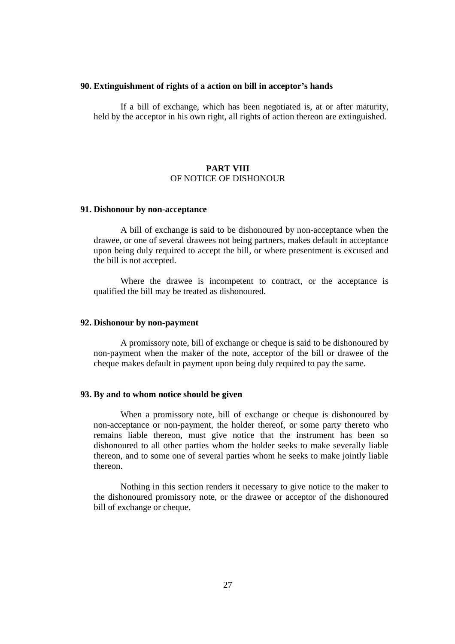## **90. Extinguishment of rights of a action on bill in acceptor's hands**

If a bill of exchange, which has been negotiated is, at or after maturity, held by the acceptor in his own right, all rights of action thereon are extinguished.

## **PART VIII** OF NOTICE OF DISHONOUR

## **91. Dishonour by non-acceptance**

A bill of exchange is said to be dishonoured by non-acceptance when the drawee, or one of several drawees not being partners, makes default in acceptance upon being duly required to accept the bill, or where presentment is excused and the bill is not accepted.

Where the drawee is incompetent to contract, or the acceptance is qualified the bill may be treated as dishonoured.

## **92. Dishonour by non-payment**

A promissory note, bill of exchange or cheque is said to be dishonoured by non-payment when the maker of the note, acceptor of the bill or drawee of the cheque makes default in payment upon being duly required to pay the same.

# **93. By and to whom notice should be given**

When a promissory note, bill of exchange or cheque is dishonoured by non-acceptance or non-payment, the holder thereof, or some party thereto who remains liable thereon, must give notice that the instrument has been so dishonoured to all other parties whom the holder seeks to make severally liable thereon, and to some one of several parties whom he seeks to make jointly liable thereon.

Nothing in this section renders it necessary to give notice to the maker to the dishonoured promissory note, or the drawee or acceptor of the dishonoured bill of exchange or cheque.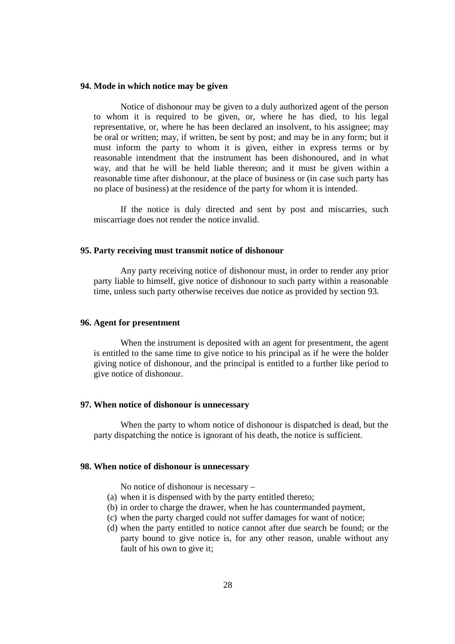#### **94. Mode in which notice may be given**

Notice of dishonour may be given to a duly authorized agent of the person to whom it is required to be given, or, where he has died, to his legal representative, or, where he has been declared an insolvent, to his assignee; may be oral or written; may, if written, be sent by post; and may be in any form; but it must inform the party to whom it is given, either in express terms or by reasonable intendment that the instrument has been dishonoured, and in what way, and that he will be held liable thereon; and it must be given within a reasonable time after dishonour, at the place of business or (in case such party has no place of business) at the residence of the party for whom it is intended.

If the notice is duly directed and sent by post and miscarries, such miscarriage does not render the notice invalid.

## **95. Party receiving must transmit notice of dishonour**

Any party receiving notice of dishonour must, in order to render any prior party liable to himself, give notice of dishonour to such party within a reasonable time, unless such party otherwise receives due notice as provided by section 93.

## **96. Agent for presentment**

When the instrument is deposited with an agent for presentment, the agent is entitled to the same time to give notice to his principal as if he were the holder giving notice of dishonour, and the principal is entitled to a further like period to give notice of dishonour.

#### **97. When notice of dishonour is unnecessary**

When the party to whom notice of dishonour is dispatched is dead, but the party dispatching the notice is ignorant of his death, the notice is sufficient.

## **98. When notice of dishonour is unnecessary**

No notice of dishonour is necessary –

- (a) when it is dispensed with by the party entitled thereto;
- (b) in order to charge the drawer, when he has countermanded payment,
- (c) when the party charged could not suffer damages for want of notice;
- (d) when the party entitled to notice cannot after due search be found; or the party bound to give notice is, for any other reason, unable without any fault of his own to give it;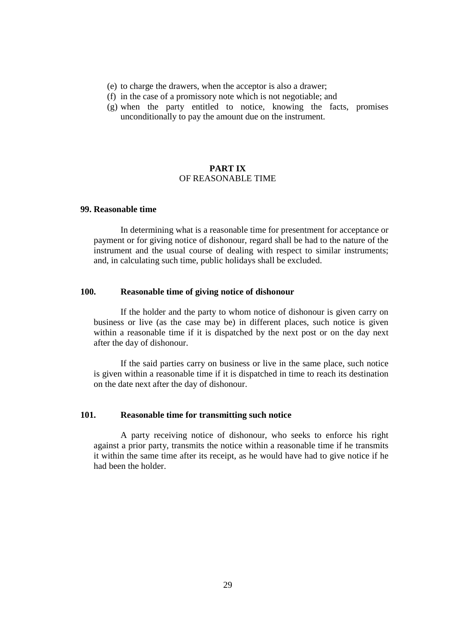- (e) to charge the drawers, when the acceptor is also a drawer;
- (f) in the case of a promissory note which is not negotiable; and
- (g) when the party entitled to notice, knowing the facts, promises unconditionally to pay the amount due on the instrument.

## **PART IX** OF REASONABLE TIME

# **99. Reasonable time**

In determining what is a reasonable time for presentment for acceptance or payment or for giving notice of dishonour, regard shall be had to the nature of the instrument and the usual course of dealing with respect to similar instruments; and, in calculating such time, public holidays shall be excluded.

# **100. Reasonable time of giving notice of dishonour**

If the holder and the party to whom notice of dishonour is given carry on business or live (as the case may be) in different places, such notice is given within a reasonable time if it is dispatched by the next post or on the day next after the day of dishonour.

If the said parties carry on business or live in the same place, such notice is given within a reasonable time if it is dispatched in time to reach its destination on the date next after the day of dishonour.

# **101. Reasonable time for transmitting such notice**

A party receiving notice of dishonour, who seeks to enforce his right against a prior party, transmits the notice within a reasonable time if he transmits it within the same time after its receipt, as he would have had to give notice if he had been the holder.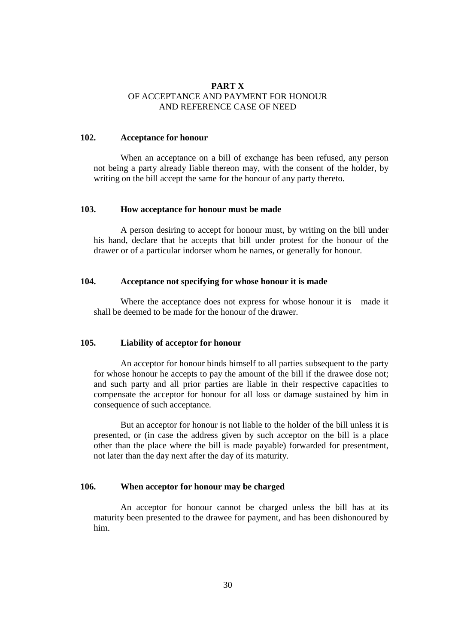# **PART X**  OF ACCEPTANCE AND PAYMENT FOR HONOUR AND REFERENCE CASE OF NEED

## **102. Acceptance for honour**

When an acceptance on a bill of exchange has been refused, any person not being a party already liable thereon may, with the consent of the holder, by writing on the bill accept the same for the honour of any party thereto.

# **103. How acceptance for honour must be made**

A person desiring to accept for honour must, by writing on the bill under his hand, declare that he accepts that bill under protest for the honour of the drawer or of a particular indorser whom he names, or generally for honour.

## **104. Acceptance not specifying for whose honour it is made**

Where the acceptance does not express for whose honour it is made it shall be deemed to be made for the honour of the drawer.

# **105. Liability of acceptor for honour**

An acceptor for honour binds himself to all parties subsequent to the party for whose honour he accepts to pay the amount of the bill if the drawee dose not; and such party and all prior parties are liable in their respective capacities to compensate the acceptor for honour for all loss or damage sustained by him in consequence of such acceptance.

But an acceptor for honour is not liable to the holder of the bill unless it is presented, or (in case the address given by such acceptor on the bill is a place other than the place where the bill is made payable) forwarded for presentment, not later than the day next after the day of its maturity.

## **106. When acceptor for honour may be charged**

An acceptor for honour cannot be charged unless the bill has at its maturity been presented to the drawee for payment, and has been dishonoured by him.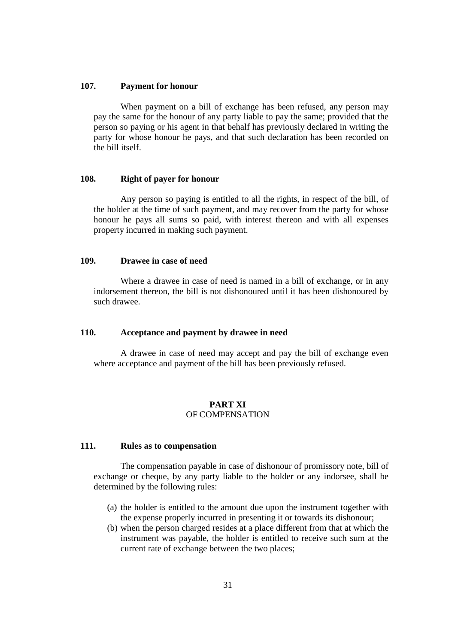## **107. Payment for honour**

When payment on a bill of exchange has been refused, any person may pay the same for the honour of any party liable to pay the same; provided that the person so paying or his agent in that behalf has previously declared in writing the party for whose honour he pays, and that such declaration has been recorded on the bill itself.

# **108. Right of payer for honour**

Any person so paying is entitled to all the rights, in respect of the bill, of the holder at the time of such payment, and may recover from the party for whose honour he pays all sums so paid, with interest thereon and with all expenses property incurred in making such payment.

# **109. Drawee in case of need**

Where a drawee in case of need is named in a bill of exchange, or in any indorsement thereon, the bill is not dishonoured until it has been dishonoured by such drawee.

# **110. Acceptance and payment by drawee in need**

A drawee in case of need may accept and pay the bill of exchange even where acceptance and payment of the bill has been previously refused.

# **PART XI**  OF COMPENSATION

## **111. Rules as to compensation**

The compensation payable in case of dishonour of promissory note, bill of exchange or cheque, by any party liable to the holder or any indorsee, shall be determined by the following rules:

- (a) the holder is entitled to the amount due upon the instrument together with the expense properly incurred in presenting it or towards its dishonour;
- (b) when the person charged resides at a place different from that at which the instrument was payable, the holder is entitled to receive such sum at the current rate of exchange between the two places;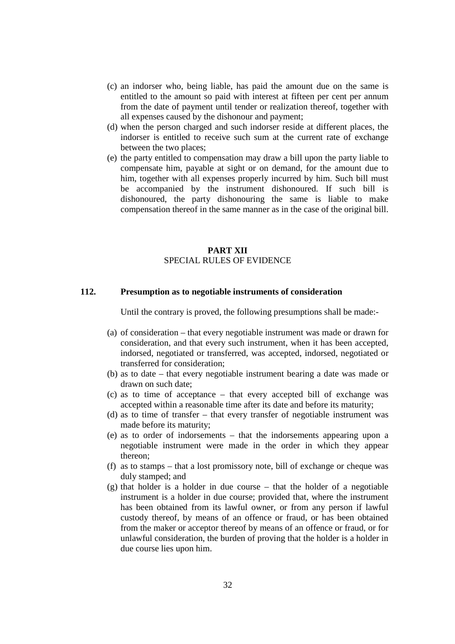- (c) an indorser who, being liable, has paid the amount due on the same is entitled to the amount so paid with interest at fifteen per cent per annum from the date of payment until tender or realization thereof, together with all expenses caused by the dishonour and payment;
- (d) when the person charged and such indorser reside at different places, the indorser is entitled to receive such sum at the current rate of exchange between the two places;
- (e) the party entitled to compensation may draw a bill upon the party liable to compensate him, payable at sight or on demand, for the amount due to him, together with all expenses properly incurred by him. Such bill must be accompanied by the instrument dishonoured. If such bill is dishonoured, the party dishonouring the same is liable to make compensation thereof in the same manner as in the case of the original bill.

# **PART XII**  SPECIAL RULES OF EVIDENCE

## **112. Presumption as to negotiable instruments of consideration**

Until the contrary is proved, the following presumptions shall be made:-

- (a) of consideration that every negotiable instrument was made or drawn for consideration, and that every such instrument, when it has been accepted, indorsed, negotiated or transferred, was accepted, indorsed, negotiated or transferred for consideration;
- (b) as to date that every negotiable instrument bearing a date was made or drawn on such date;
- (c) as to time of acceptance that every accepted bill of exchange was accepted within a reasonable time after its date and before its maturity;
- (d) as to time of transfer that every transfer of negotiable instrument was made before its maturity;
- (e) as to order of indorsements that the indorsements appearing upon a negotiable instrument were made in the order in which they appear thereon;
- (f) as to stamps that a lost promissory note, bill of exchange or cheque was duly stamped; and
- (g) that holder is a holder in due course that the holder of a negotiable instrument is a holder in due course; provided that, where the instrument has been obtained from its lawful owner, or from any person if lawful custody thereof, by means of an offence or fraud, or has been obtained from the maker or acceptor thereof by means of an offence or fraud, or for unlawful consideration, the burden of proving that the holder is a holder in due course lies upon him.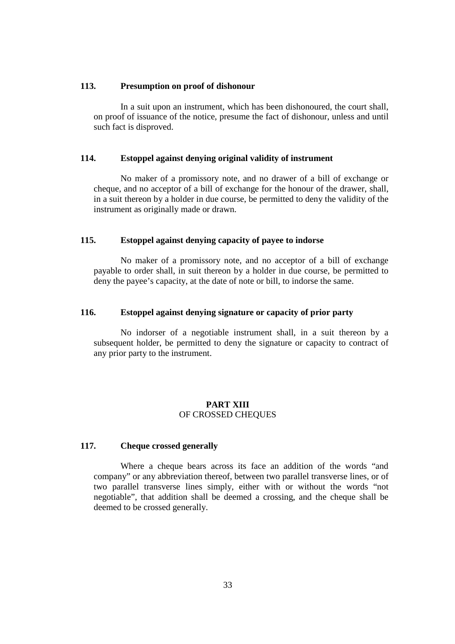## **113. Presumption on proof of dishonour**

In a suit upon an instrument, which has been dishonoured, the court shall, on proof of issuance of the notice, presume the fact of dishonour, unless and until such fact is disproved.

# **114. Estoppel against denying original validity of instrument**

No maker of a promissory note, and no drawer of a bill of exchange or cheque, and no acceptor of a bill of exchange for the honour of the drawer, shall, in a suit thereon by a holder in due course, be permitted to deny the validity of the instrument as originally made or drawn.

# **115. Estoppel against denying capacity of payee to indorse**

No maker of a promissory note, and no acceptor of a bill of exchange payable to order shall, in suit thereon by a holder in due course, be permitted to deny the payee's capacity, at the date of note or bill, to indorse the same.

## **116. Estoppel against denying signature or capacity of prior party**

No indorser of a negotiable instrument shall, in a suit thereon by a subsequent holder, be permitted to deny the signature or capacity to contract of any prior party to the instrument.

## **PART XIII** OF CROSSED CHEQUES

## **117. Cheque crossed generally**

Where a cheque bears across its face an addition of the words "and company" or any abbreviation thereof, between two parallel transverse lines, or of two parallel transverse lines simply, either with or without the words "not negotiable", that addition shall be deemed a crossing, and the cheque shall be deemed to be crossed generally.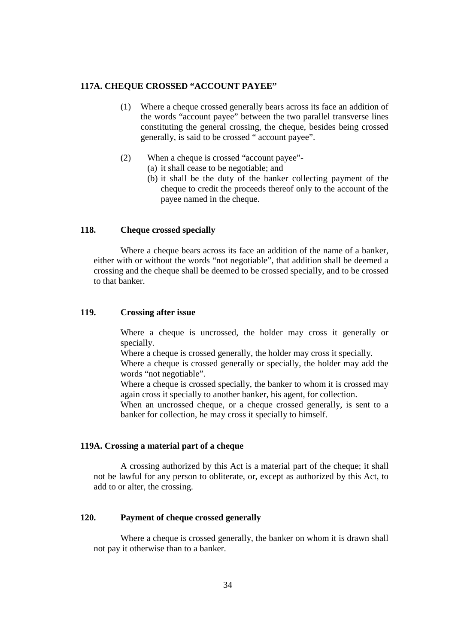# **117A. CHEQUE CROSSED "ACCOUNT PAYEE"**

- (1) Where a cheque crossed generally bears across its face an addition of the words "account payee" between the two parallel transverse lines constituting the general crossing, the cheque, besides being crossed generally, is said to be crossed " account payee".
- (2) When a cheque is crossed "account payee"-
	- (a) it shall cease to be negotiable; and
		- (b) it shall be the duty of the banker collecting payment of the cheque to credit the proceeds thereof only to the account of the payee named in the cheque.

# **118. Cheque crossed specially**

Where a cheque bears across its face an addition of the name of a banker, either with or without the words "not negotiable", that addition shall be deemed a crossing and the cheque shall be deemed to be crossed specially, and to be crossed to that banker.

## **119. Crossing after issue**

Where a cheque is uncrossed, the holder may cross it generally or specially.

Where a cheque is crossed generally, the holder may cross it specially.

Where a cheque is crossed generally or specially, the holder may add the words "not negotiable".

Where a cheque is crossed specially, the banker to whom it is crossed may again cross it specially to another banker, his agent, for collection.

When an uncrossed cheque, or a cheque crossed generally, is sent to a banker for collection, he may cross it specially to himself.

## **119A. Crossing a material part of a cheque**

A crossing authorized by this Act is a material part of the cheque; it shall not be lawful for any person to obliterate, or, except as authorized by this Act, to add to or alter, the crossing.

# **120. Payment of cheque crossed generally**

Where a cheque is crossed generally, the banker on whom it is drawn shall not pay it otherwise than to a banker.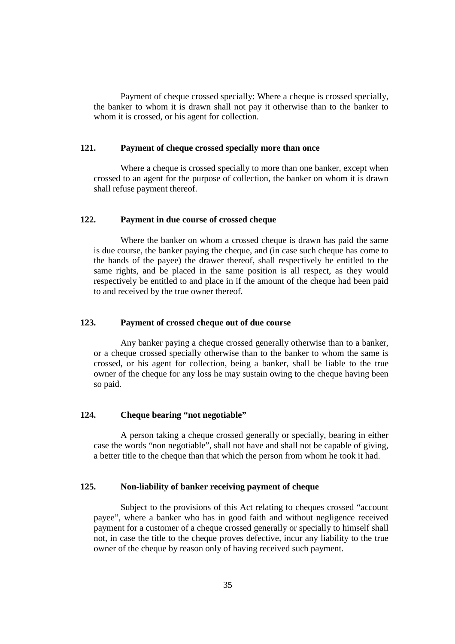Payment of cheque crossed specially: Where a cheque is crossed specially, the banker to whom it is drawn shall not pay it otherwise than to the banker to whom it is crossed, or his agent for collection.

## **121. Payment of cheque crossed specially more than once**

Where a cheque is crossed specially to more than one banker, except when crossed to an agent for the purpose of collection, the banker on whom it is drawn shall refuse payment thereof.

## **122. Payment in due course of crossed cheque**

Where the banker on whom a crossed cheque is drawn has paid the same is due course, the banker paying the cheque, and (in case such cheque has come to the hands of the payee) the drawer thereof, shall respectively be entitled to the same rights, and be placed in the same position is all respect, as they would respectively be entitled to and place in if the amount of the cheque had been paid to and received by the true owner thereof.

# **123. Payment of crossed cheque out of due course**

Any banker paying a cheque crossed generally otherwise than to a banker, or a cheque crossed specially otherwise than to the banker to whom the same is crossed, or his agent for collection, being a banker, shall be liable to the true owner of the cheque for any loss he may sustain owing to the cheque having been so paid.

# **124. Cheque bearing "not negotiable"**

A person taking a cheque crossed generally or specially, bearing in either case the words "non negotiable", shall not have and shall not be capable of giving, a better title to the cheque than that which the person from whom he took it had.

# **125. Non-liability of banker receiving payment of cheque**

Subject to the provisions of this Act relating to cheques crossed "account payee", where a banker who has in good faith and without negligence received payment for a customer of a cheque crossed generally or specially to himself shall not, in case the title to the cheque proves defective, incur any liability to the true owner of the cheque by reason only of having received such payment.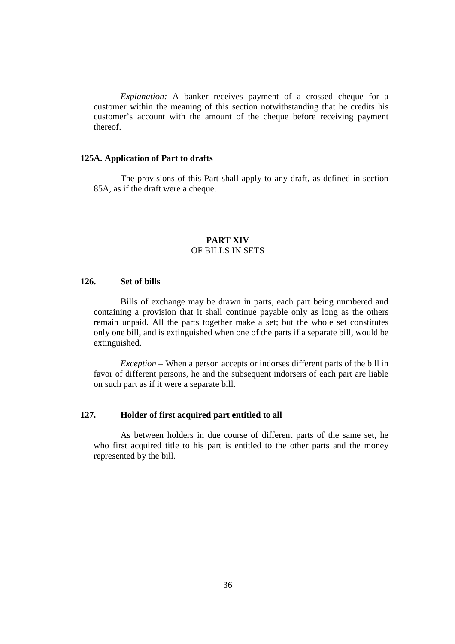*Explanation:* A banker receives payment of a crossed cheque for a customer within the meaning of this section notwithstanding that he credits his customer's account with the amount of the cheque before receiving payment thereof.

## **125A. Application of Part to drafts**

The provisions of this Part shall apply to any draft, as defined in section 85A, as if the draft were a cheque.

# **PART XIV**  OF BILLS IN SETS

# **126. Set of bills**

Bills of exchange may be drawn in parts, each part being numbered and containing a provision that it shall continue payable only as long as the others remain unpaid. All the parts together make a set; but the whole set constitutes only one bill, and is extinguished when one of the parts if a separate bill, would be extinguished.

*Exception* – When a person accepts or indorses different parts of the bill in favor of different persons, he and the subsequent indorsers of each part are liable on such part as if it were a separate bill.

# **127. Holder of first acquired part entitled to all**

As between holders in due course of different parts of the same set, he who first acquired title to his part is entitled to the other parts and the money represented by the bill.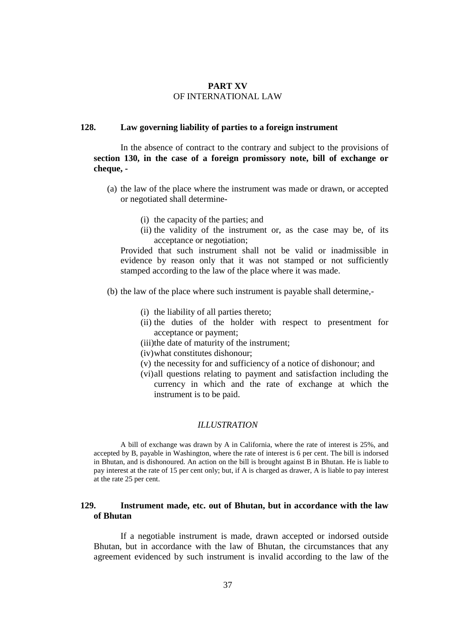# **PART XV**  OF INTERNATIONAL LAW

## **128. Law governing liability of parties to a foreign instrument**

In the absence of contract to the contrary and subject to the provisions of **section 130, in the case of a foreign promissory note, bill of exchange or cheque, -**

- (a) the law of the place where the instrument was made or drawn, or accepted or negotiated shall determine-
	- (i) the capacity of the parties; and
	- (ii) the validity of the instrument or, as the case may be, of its acceptance or negotiation;

Provided that such instrument shall not be valid or inadmissible in evidence by reason only that it was not stamped or not sufficiently stamped according to the law of the place where it was made.

- (b) the law of the place where such instrument is payable shall determine,-
	- (i) the liability of all parties thereto;
	- (ii) the duties of the holder with respect to presentment for acceptance or payment;
	- (iii)the date of maturity of the instrument;
	- (iv)what constitutes dishonour;
	- (v) the necessity for and sufficiency of a notice of dishonour; and
	- (vi)all questions relating to payment and satisfaction including the currency in which and the rate of exchange at which the instrument is to be paid.

#### *ILLUSTRATION*

A bill of exchange was drawn by A in California, where the rate of interest is 25%, and accepted by B, payable in Washington, where the rate of interest is 6 per cent. The bill is indorsed in Bhutan, and is dishonoured. An action on the bill is brought against B in Bhutan. He is liable to pay interest at the rate of 15 per cent only; but, if A is charged as drawer, A is liable to pay interest at the rate 25 per cent.

# **129. Instrument made, etc. out of Bhutan, but in accordance with the law of Bhutan**

If a negotiable instrument is made, drawn accepted or indorsed outside Bhutan, but in accordance with the law of Bhutan, the circumstances that any agreement evidenced by such instrument is invalid according to the law of the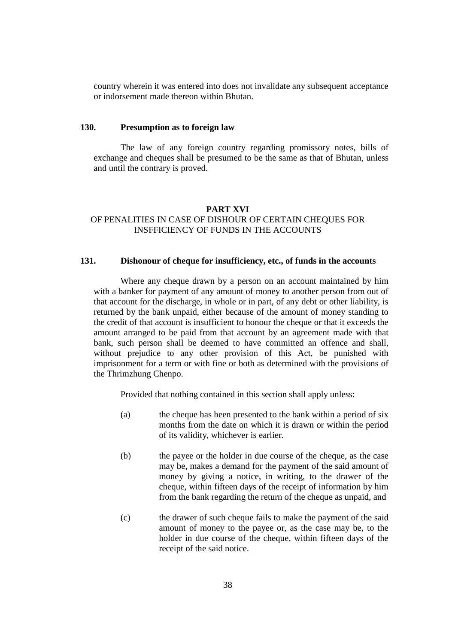country wherein it was entered into does not invalidate any subsequent acceptance or indorsement made thereon within Bhutan.

## **130. Presumption as to foreign law**

The law of any foreign country regarding promissory notes, bills of exchange and cheques shall be presumed to be the same as that of Bhutan, unless and until the contrary is proved.

# **PART XVI**

# OF PENALITIES IN CASE OF DISHOUR OF CERTAIN CHEQUES FOR INSFFICIENCY OF FUNDS IN THE ACCOUNTS

## **131. Dishonour of cheque for insufficiency, etc., of funds in the accounts**

Where any cheque drawn by a person on an account maintained by him with a banker for payment of any amount of money to another person from out of that account for the discharge, in whole or in part, of any debt or other liability, is returned by the bank unpaid, either because of the amount of money standing to the credit of that account is insufficient to honour the cheque or that it exceeds the amount arranged to be paid from that account by an agreement made with that bank, such person shall be deemed to have committed an offence and shall, without prejudice to any other provision of this Act, be punished with imprisonment for a term or with fine or both as determined with the provisions of the Thrimzhung Chenpo.

Provided that nothing contained in this section shall apply unless:

- (a) the cheque has been presented to the bank within a period of six months from the date on which it is drawn or within the period of its validity, whichever is earlier.
- (b) the payee or the holder in due course of the cheque, as the case may be, makes a demand for the payment of the said amount of money by giving a notice, in writing, to the drawer of the cheque, within fifteen days of the receipt of information by him from the bank regarding the return of the cheque as unpaid, and
- (c) the drawer of such cheque fails to make the payment of the said amount of money to the payee or, as the case may be, to the holder in due course of the cheque, within fifteen days of the receipt of the said notice.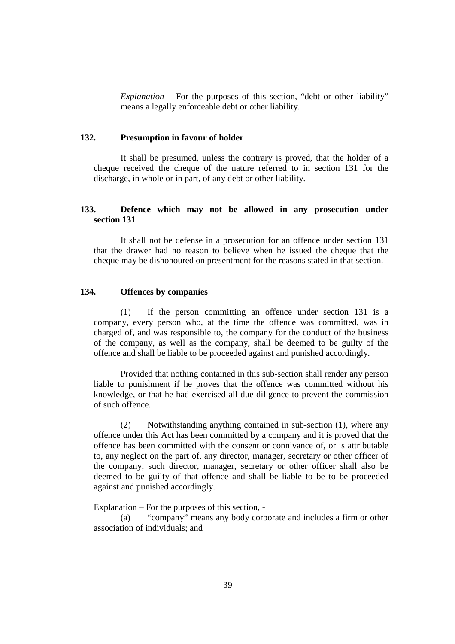*Explanation* – For the purposes of this section, "debt or other liability" means a legally enforceable debt or other liability.

## **132. Presumption in favour of holder**

It shall be presumed, unless the contrary is proved, that the holder of a cheque received the cheque of the nature referred to in section 131 for the discharge, in whole or in part, of any debt or other liability.

# **133. Defence which may not be allowed in any prosecution under section 131**

It shall not be defense in a prosecution for an offence under section 131 that the drawer had no reason to believe when he issued the cheque that the cheque may be dishonoured on presentment for the reasons stated in that section.

# **134. Offences by companies**

(1) If the person committing an offence under section 131 is a company, every person who, at the time the offence was committed, was in charged of, and was responsible to, the company for the conduct of the business of the company, as well as the company, shall be deemed to be guilty of the offence and shall be liable to be proceeded against and punished accordingly.

Provided that nothing contained in this sub-section shall render any person liable to punishment if he proves that the offence was committed without his knowledge, or that he had exercised all due diligence to prevent the commission of such offence.

(2) Notwithstanding anything contained in sub-section (1), where any offence under this Act has been committed by a company and it is proved that the offence has been committed with the consent or connivance of, or is attributable to, any neglect on the part of, any director, manager, secretary or other officer of the company, such director, manager, secretary or other officer shall also be deemed to be guilty of that offence and shall be liable to be to be proceeded against and punished accordingly.

Explanation – For the purposes of this section, -

(a) "company" means any body corporate and includes a firm or other association of individuals; and